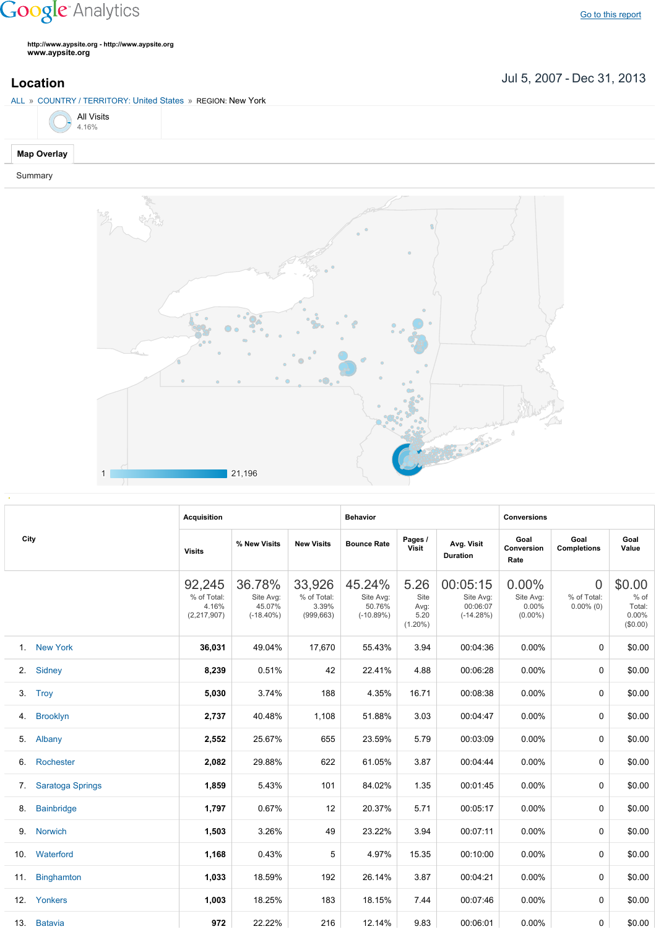## **Google** Analytics

**http://www.aypsite.org http://www.aypsite.org www.aypsite.org**

Jul 5, 2007 Dec 31, 2013 **Location**



## Summary



|      |                   | <b>Acquisition</b>                            |                                               |                                              | <b>Behavior</b>                              |                                            |                                                  | <b>Conversions</b>                        |                                               |                                               |
|------|-------------------|-----------------------------------------------|-----------------------------------------------|----------------------------------------------|----------------------------------------------|--------------------------------------------|--------------------------------------------------|-------------------------------------------|-----------------------------------------------|-----------------------------------------------|
| City |                   | <b>Visits</b>                                 | % New Visits                                  | <b>New Visits</b>                            | <b>Bounce Rate</b>                           | Pages /<br>Visit                           | Avg. Visit<br><b>Duration</b>                    | Goal<br>Conversion<br>Rate                | Goal<br><b>Completions</b>                    | Goal<br>Value                                 |
|      |                   | 92,245<br>% of Total:<br>4.16%<br>(2,217,907) | 36.78%<br>Site Avg:<br>45.07%<br>$(-18.40\%)$ | 33,926<br>% of Total:<br>3.39%<br>(999, 663) | 45.24%<br>Site Avg:<br>50.76%<br>$(-10.89%)$ | 5.26<br>Site<br>Avg:<br>5.20<br>$(1.20\%)$ | 00:05:15<br>Site Avg:<br>00:06:07<br>$(-14.28%)$ | 0.00%<br>Site Avg:<br>0.00%<br>$(0.00\%)$ | $\overline{0}$<br>% of Total:<br>$0.00\%$ (0) | \$0.00<br>% of<br>Total:<br>0.00%<br>(\$0.00) |
|      | 1. New York       | 36,031                                        | 49.04%                                        | 17,670                                       | 55.43%                                       | 3.94                                       | 00:04:36                                         | 0.00%                                     | 0                                             | \$0.00                                        |
| 2.   | Sidney            | 8,239                                         | 0.51%                                         | 42                                           | 22.41%                                       | 4.88                                       | 00:06:28                                         | 0.00%                                     | 0                                             | \$0.00                                        |
|      | 3. Trov           | 5,030                                         | 3.74%                                         | 188                                          | 4.35%                                        | 16.71                                      | 00:08:38                                         | 0.00%                                     | 0                                             | \$0.00                                        |
| 4.   | <b>Brooklyn</b>   | 2,737                                         | 40.48%                                        | 1,108                                        | 51.88%                                       | 3.03                                       | 00:04:47                                         | 0.00%                                     | 0                                             | \$0.00                                        |
| 5.   | Albany            | 2,552                                         | 25.67%                                        | 655                                          | 23.59%                                       | 5.79                                       | 00:03:09                                         | 0.00%                                     | 0                                             | \$0.00                                        |
| 6.   | Rochester         | 2,082                                         | 29.88%                                        | 622                                          | 61.05%                                       | 3.87                                       | 00:04:44                                         | 0.00%                                     | 0                                             | \$0.00                                        |
| 7.   | Saratoga Springs  | 1,859                                         | 5.43%                                         | 101                                          | 84.02%                                       | 1.35                                       | 00:01:45                                         | 0.00%                                     | 0                                             | \$0.00                                        |
| 8.   | <b>Bainbridge</b> | 1,797                                         | 0.67%                                         | 12                                           | 20.37%                                       | 5.71                                       | 00:05:17                                         | 0.00%                                     | 0                                             | \$0.00                                        |
| 9.   | Norwich           | 1,503                                         | 3.26%                                         | 49                                           | 23.22%                                       | 3.94                                       | 00:07:11                                         | 0.00%                                     | $\Omega$                                      | \$0.00                                        |
| 10.  | Waterford         | 1,168                                         | 0.43%                                         | 5                                            | 4.97%                                        | 15.35                                      | 00:10:00                                         | 0.00%                                     | $\Omega$                                      | \$0.00                                        |
| 11.  | Binghamton        | 1,033                                         | 18.59%                                        | 192                                          | 26.14%                                       | 3.87                                       | 00:04:21                                         | 0.00%                                     | $\Omega$                                      | \$0.00                                        |
| 12.  | Yonkers           | 1,003                                         | 18.25%                                        | 183                                          | 18.15%                                       | 7.44                                       | 00:07:46                                         | $0.00\%$                                  | 0                                             | \$0.00                                        |
|      | 13. Batavia       | 972                                           | 22.22%                                        | 216                                          | 12.14%                                       | 9.83                                       | 00:06:01                                         | $0.00\%$                                  | 0                                             | \$0.00                                        |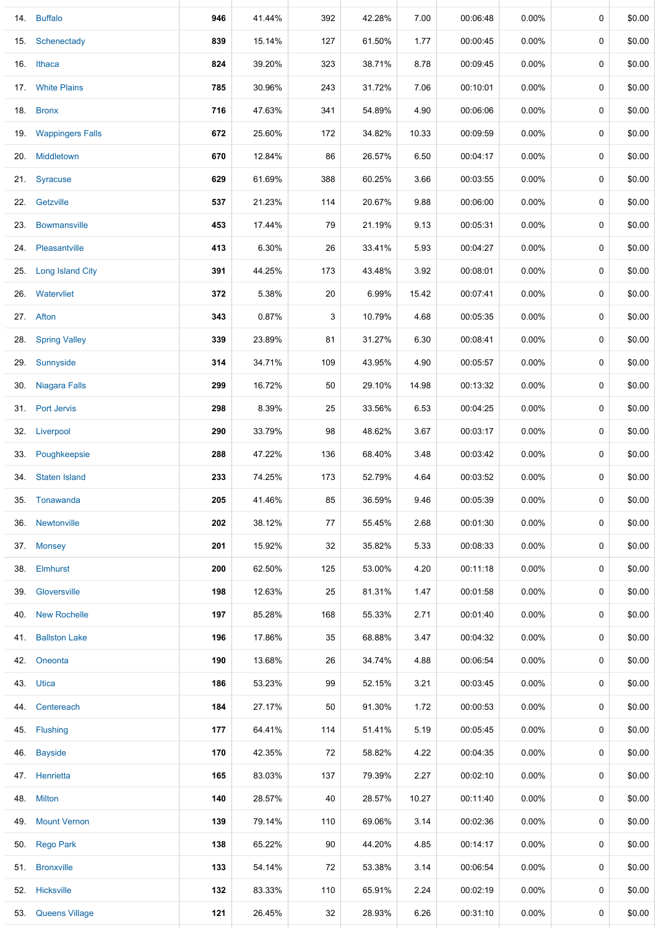|     | 14. Buffalo             | 946 | 41.44% | 392 | 42.28% | 7.00  | 00:06:48 | 0.00%    | 0 | \$0.00 |
|-----|-------------------------|-----|--------|-----|--------|-------|----------|----------|---|--------|
| 15. | Schenectady             | 839 | 15.14% | 127 | 61.50% | 1.77  | 00:00:45 | $0.00\%$ | 0 | \$0.00 |
| 16. | Ithaca                  | 824 | 39.20% | 323 | 38.71% | 8.78  | 00:09:45 | $0.00\%$ | 0 | \$0.00 |
| 17. | <b>White Plains</b>     | 785 | 30.96% | 243 | 31.72% | 7.06  | 00:10:01 | $0.00\%$ | 0 | \$0.00 |
|     | 18. Bronx               | 716 | 47.63% | 341 | 54.89% | 4.90  | 00:06:06 | $0.00\%$ | 0 | \$0.00 |
|     | 19. Wappingers Falls    | 672 | 25.60% | 172 | 34.82% | 10.33 | 00:09:59 | $0.00\%$ | 0 | \$0.00 |
| 20. | Middletown              | 670 | 12.84% | 86  | 26.57% | 6.50  | 00:04:17 | $0.00\%$ | 0 | \$0.00 |
| 21. | Syracuse                | 629 | 61.69% | 388 | 60.25% | 3.66  | 00:03:55 | $0.00\%$ | 0 | \$0.00 |
|     | 22. Getzville           | 537 | 21.23% | 114 | 20.67% | 9.88  | 00:06:00 | $0.00\%$ | 0 | \$0.00 |
| 23. | <b>Bowmansville</b>     | 453 | 17.44% | 79  | 21.19% | 9.13  | 00:05:31 | $0.00\%$ | 0 | \$0.00 |
| 24. | Pleasantville           | 413 | 6.30%  | 26  | 33.41% | 5.93  | 00:04:27 | $0.00\%$ | 0 | \$0.00 |
| 25. | <b>Long Island City</b> | 391 | 44.25% | 173 | 43.48% | 3.92  | 00:08:01 | $0.00\%$ | 0 | \$0.00 |
| 26. | Watervliet              | 372 | 5.38%  | 20  | 6.99%  | 15.42 | 00:07:41 | 0.00%    | 0 | \$0.00 |
| 27. | Afton                   | 343 | 0.87%  | 3   | 10.79% | 4.68  | 00:05:35 | $0.00\%$ | 0 | \$0.00 |
| 28. | <b>Spring Valley</b>    | 339 | 23.89% | 81  | 31.27% | 6.30  | 00:08:41 | $0.00\%$ | 0 | \$0.00 |
| 29. | Sunnyside               | 314 | 34.71% | 109 | 43.95% | 4.90  | 00:05:57 | $0.00\%$ | 0 | \$0.00 |
| 30. | Niagara Falls           | 299 | 16.72% | 50  | 29.10% | 14.98 | 00:13:32 | $0.00\%$ | 0 | \$0.00 |
|     | 31. Port Jervis         | 298 | 8.39%  | 25  | 33.56% | 6.53  | 00:04:25 | $0.00\%$ | 0 | \$0.00 |
| 32. | Liverpool               | 290 | 33.79% | 98  | 48.62% | 3.67  | 00:03:17 | $0.00\%$ | 0 | \$0.00 |
|     | 33. Poughkeepsie        | 288 | 47.22% | 136 | 68.40% | 3.48  | 00:03:42 | $0.00\%$ | 0 | \$0.00 |
| 34. | <b>Staten Island</b>    | 233 | 74.25% | 173 | 52.79% | 4.64  | 00:03:52 | $0.00\%$ | 0 | \$0.00 |
|     | 35. Tonawanda           | 205 | 41.46% | 85  | 36.59% | 9.46  | 00:05:39 | $0.00\%$ | 0 | \$0.00 |
| 36. | Newtonville             | 202 | 38.12% | 77  | 55.45% | 2.68  | 00:01:30 | $0.00\%$ | 0 | \$0.00 |
|     | 37. Monsey              | 201 | 15.92% | 32  | 35.82% | 5.33  | 00:08:33 | $0.00\%$ | 0 | \$0.00 |
|     | 38. Elmhurst            | 200 | 62.50% | 125 | 53.00% | 4.20  | 00:11:18 | $0.00\%$ | 0 | \$0.00 |
|     | 39. Gloversville        | 198 | 12.63% | 25  | 81.31% | 1.47  | 00:01:58 | $0.00\%$ | 0 | \$0.00 |
| 40. | <b>New Rochelle</b>     | 197 | 85.28% | 168 | 55.33% | 2.71  | 00:01:40 | $0.00\%$ | 0 | \$0.00 |
| 41. | <b>Ballston Lake</b>    | 196 | 17.86% | 35  | 68.88% | 3.47  | 00:04:32 | $0.00\%$ | 0 | \$0.00 |
| 42. | Oneonta                 | 190 | 13.68% | 26  | 34.74% | 4.88  | 00:06:54 | $0.00\%$ | 0 | \$0.00 |
|     | 43. Utica               | 186 | 53.23% | 99  | 52.15% | 3.21  | 00:03:45 | $0.00\%$ | 0 | \$0.00 |
| 44. | Centereach              | 184 | 27.17% | 50  | 91.30% | 1.72  | 00:00:53 | $0.00\%$ | 0 | \$0.00 |
| 45. | Flushing                | 177 | 64.41% | 114 | 51.41% | 5.19  | 00:05:45 | $0.00\%$ | 0 | \$0.00 |
| 46. | <b>Bayside</b>          | 170 | 42.35% | 72  | 58.82% | 4.22  | 00:04:35 | $0.00\%$ | 0 | \$0.00 |
|     | 47. Henrietta           | 165 | 83.03% | 137 | 79.39% | 2.27  | 00:02:10 | $0.00\%$ | 0 | \$0.00 |
|     | 48. Milton              | 140 | 28.57% | 40  | 28.57% | 10.27 | 00:11:40 | $0.00\%$ | 0 | \$0.00 |
| 49. | <b>Mount Vernon</b>     | 139 | 79.14% | 110 | 69.06% | 3.14  | 00:02:36 | $0.00\%$ | 0 | \$0.00 |
|     | 50. Rego Park           | 138 | 65.22% | 90  | 44.20% | 4.85  | 00:14:17 | $0.00\%$ | 0 | \$0.00 |
| 51. | <b>Bronxville</b>       | 133 | 54.14% | 72  | 53.38% | 3.14  | 00:06:54 | $0.00\%$ | 0 | \$0.00 |
|     | 52. Hicksville          | 132 | 83.33% | 110 | 65.91% | 2.24  | 00:02:19 | $0.00\%$ | 0 | \$0.00 |
| 53. | <b>Queens Village</b>   | 121 | 26.45% | 32  | 28.93% | 6.26  | 00:31:10 | $0.00\%$ | 0 | \$0.00 |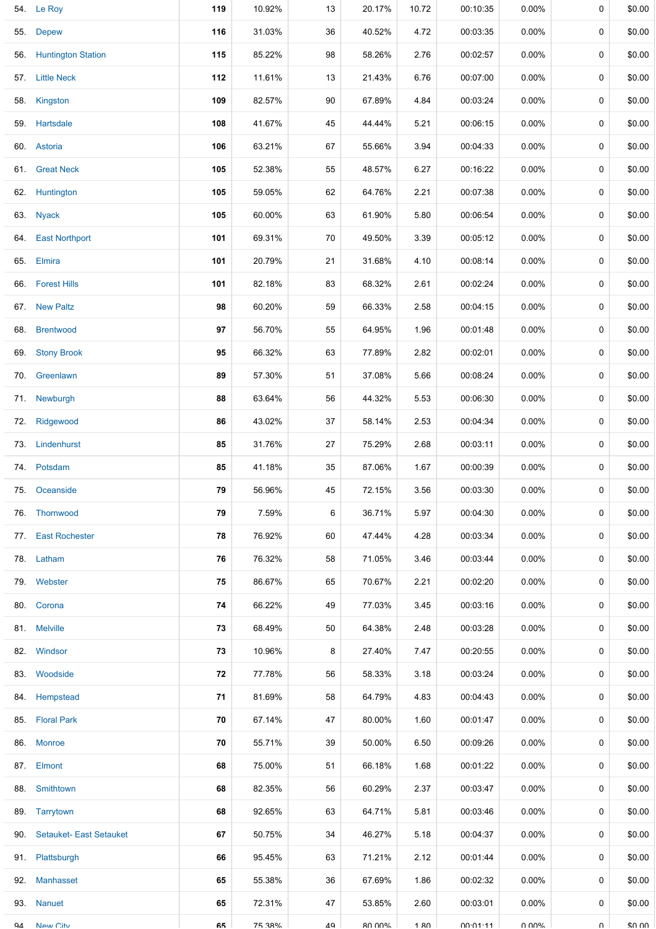|     | 54. Le Roy                  | 119 | 10.92% | 13 | 20.17% | 10.72 | 00:10:35 | 0.00%    | 0      | \$0.00 |
|-----|-----------------------------|-----|--------|----|--------|-------|----------|----------|--------|--------|
|     | 55. Depew                   | 116 | 31.03% | 36 | 40.52% | 4.72  | 00:03:35 | $0.00\%$ | 0      | \$0.00 |
|     | 56. Huntington Station      | 115 | 85.22% | 98 | 58.26% | 2.76  | 00:02:57 | $0.00\%$ | 0      | \$0.00 |
|     | 57. Little Neck             | 112 | 11.61% | 13 | 21.43% | 6.76  | 00:07:00 | $0.00\%$ | 0      | \$0.00 |
|     | 58. Kingston                | 109 | 82.57% | 90 | 67.89% | 4.84  | 00:03:24 | $0.00\%$ | 0      | \$0.00 |
|     | 59. Hartsdale               | 108 | 41.67% | 45 | 44.44% | 5.21  | 00:06:15 | $0.00\%$ | 0      | \$0.00 |
|     | 60. Astoria                 | 106 | 63.21% | 67 | 55.66% | 3.94  | 00:04:33 | $0.00\%$ | 0      | \$0.00 |
| 61. | <b>Great Neck</b>           | 105 | 52.38% | 55 | 48.57% | 6.27  | 00:16:22 | $0.00\%$ | 0      | \$0.00 |
|     | 62. Huntington              | 105 | 59.05% | 62 | 64.76% | 2.21  | 00:07:38 | $0.00\%$ | 0      | \$0.00 |
|     | 63. Nyack                   | 105 | 60.00% | 63 | 61.90% | 5.80  | 00:06:54 | $0.00\%$ | 0      | \$0.00 |
|     | 64. East Northport          | 101 | 69.31% | 70 | 49.50% | 3.39  | 00:05:12 | $0.00\%$ | 0      | \$0.00 |
|     | 65. Elmira                  | 101 | 20.79% | 21 | 31.68% | 4.10  | 00:08:14 | 0.00%    | 0      | \$0.00 |
|     | 66. Forest Hills            | 101 | 82.18% | 83 | 68.32% | 2.61  | 00:02:24 | 0.00%    | 0      | \$0.00 |
|     | 67. New Paltz               | 98  | 60.20% | 59 | 66.33% | 2.58  | 00:04:15 | 0.00%    | 0      | \$0.00 |
| 68. | <b>Brentwood</b>            | 97  | 56.70% | 55 | 64.95% | 1.96  | 00:01:48 | 0.00%    | 0      | \$0.00 |
| 69. | <b>Stony Brook</b>          | 95  | 66.32% | 63 | 77.89% | 2.82  | 00:02:01 | 0.00%    | 0      | \$0.00 |
|     | 70. Greenlawn               | 89  | 57.30% | 51 | 37.08% | 5.66  | 00:08:24 | 0.00%    | 0      | \$0.00 |
|     | 71. Newburgh                | 88  | 63.64% | 56 | 44.32% | 5.53  | 00:06:30 | 0.00%    | 0      | \$0.00 |
|     | 72. Ridgewood               | 86  | 43.02% | 37 | 58.14% | 2.53  | 00:04:34 | 0.00%    | 0      | \$0.00 |
|     | 73. Lindenhurst             | 85  | 31.76% | 27 | 75.29% | 2.68  | 00:03:11 | $0.00\%$ | 0      | \$0.00 |
|     | 74. Potsdam                 | 85  | 41.18% | 35 | 87.06% | 1.67  | 00:00:39 | $0.00\%$ | 0      | \$0.00 |
|     | 75. Oceanside               | 79  | 56.96% | 45 | 72.15% | 3.56  | 00:03:30 | $0.00\%$ | 0      | \$0.00 |
|     | 76. Thornwood               | 79  | 7.59%  | 6  | 36.71% | 5.97  | 00:04:30 | $0.00\%$ | 0      | \$0.00 |
|     | 77. East Rochester          | 78  | 76.92% | 60 | 47.44% | 4.28  | 00:03:34 | $0.00\%$ | 0      | \$0.00 |
|     | 78. Latham                  | 76  | 76.32% | 58 | 71.05% | 3.46  | 00:03:44 | $0.00\%$ | 0      | \$0.00 |
|     | 79. Webster                 | 75  | 86.67% | 65 | 70.67% | 2.21  | 00:02:20 | $0.00\%$ | 0      | \$0.00 |
|     | 80. Corona                  | 74  | 66.22% | 49 | 77.03% | 3.45  | 00:03:16 | $0.00\%$ | 0      | \$0.00 |
|     | 81. Melville                | 73  | 68.49% | 50 | 64.38% | 2.48  | 00:03:28 | $0.00\%$ | 0      | \$0.00 |
|     | 82. Windsor                 | 73  | 10.96% | 8  | 27.40% | 7.47  | 00:20:55 | $0.00\%$ | 0      | \$0.00 |
|     | 83. Woodside                | 72  | 77.78% | 56 | 58.33% | 3.18  | 00:03:24 | $0.00\%$ | 0      | \$0.00 |
|     | 84. Hempstead               | 71  | 81.69% | 58 | 64.79% | 4.83  | 00:04:43 | $0.00\%$ | 0      | \$0.00 |
|     | 85. Floral Park             | 70  | 67.14% | 47 | 80.00% | 1.60  | 00:01:47 | $0.00\%$ | 0      | \$0.00 |
|     | 86. Monroe                  | 70  | 55.71% | 39 | 50.00% | 6.50  | 00:09:26 | 0.00%    | 0      | \$0.00 |
|     | 87. Elmont                  | 68  | 75.00% | 51 | 66.18% | 1.68  | 00:01:22 | $0.00\%$ | 0      | \$0.00 |
|     | 88. Smithtown               | 68  | 82.35% | 56 | 60.29% | 2.37  | 00:03:47 | $0.00\%$ | 0      | \$0.00 |
|     | 89. Tarrytown               | 68  | 92.65% | 63 | 64.71% | 5.81  | 00:03:46 | $0.00\%$ | 0      | \$0.00 |
|     | 90. Setauket- East Setauket | 67  | 50.75% | 34 | 46.27% | 5.18  | 00:04:37 | $0.00\%$ | 0      | \$0.00 |
|     | 91. Plattsburgh             | 66  | 95.45% | 63 | 71.21% | 2.12  | 00:01:44 | $0.00\%$ | 0      | \$0.00 |
|     | 92. Manhasset               | 65  | 55.38% | 36 | 67.69% | 1.86  | 00:02:32 | $0.00\%$ | 0      | \$0.00 |
|     | 93. Nanuet                  | 65  | 72.31% | 47 | 53.85% | 2.60  | 00:03:01 | $0.00\%$ | 0      | \$0.00 |
| QΔ  | New City                    | 65  | 75 38% | 49 | ጸበ በበ% | 1 RN  | 00:01:11 | ህ ሀሀላ"   | $\cap$ | \$0.00 |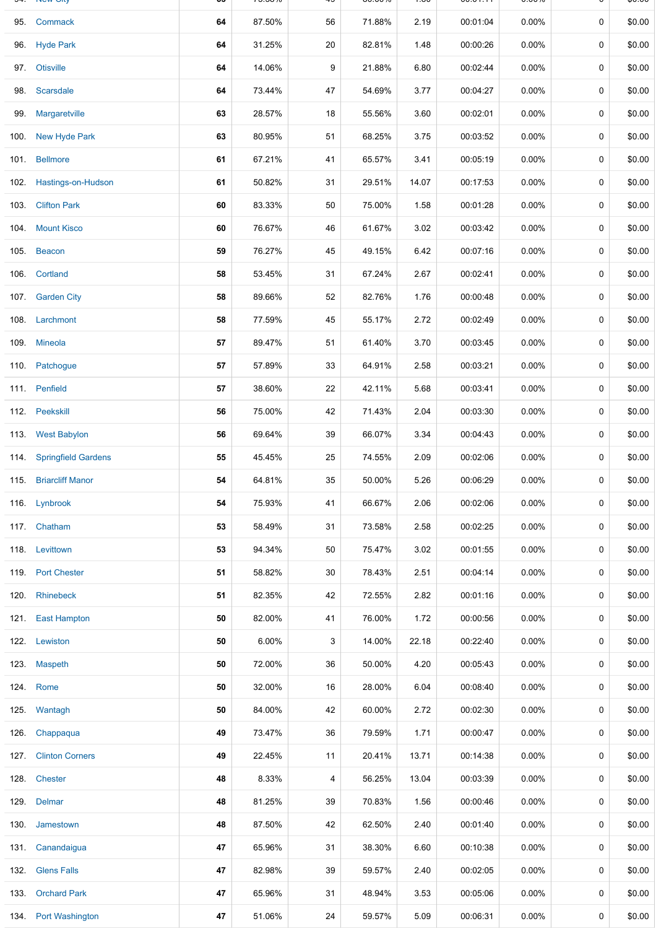|      | 95. Commack              | 64 | 87.50% | 56 | 71.88% | 2.19  | 00:01:04 | 0.00%    | 0 | \$0.00 |
|------|--------------------------|----|--------|----|--------|-------|----------|----------|---|--------|
|      | 96. Hyde Park            | 64 | 31.25% | 20 | 82.81% | 1.48  | 00:00:26 | $0.00\%$ | 0 | \$0.00 |
|      | 97. Otisville            | 64 | 14.06% | 9  | 21.88% | 6.80  | 00:02:44 | 0.00%    | 0 | \$0.00 |
| 98.  | Scarsdale                | 64 | 73.44% | 47 | 54.69% | 3.77  | 00:04:27 | $0.00\%$ | 0 | \$0.00 |
| 99.  | Margaretville            | 63 | 28.57% | 18 | 55.56% | 3.60  | 00:02:01 | 0.00%    | 0 | \$0.00 |
|      | 100. New Hyde Park       | 63 | 80.95% | 51 | 68.25% | 3.75  | 00:03:52 | 0.00%    | 0 | \$0.00 |
|      | 101. Bellmore            | 61 | 67.21% | 41 | 65.57% | 3.41  | 00:05:19 | 0.00%    | 0 | \$0.00 |
|      | 102. Hastings-on-Hudson  | 61 | 50.82% | 31 | 29.51% | 14.07 | 00:17:53 | 0.00%    | 0 | \$0.00 |
|      | 103. Clifton Park        | 60 | 83.33% | 50 | 75.00% | 1.58  | 00:01:28 | $0.00\%$ | 0 | \$0.00 |
|      | 104 Mount Kisco          | 60 | 76.67% | 46 | 61.67% | 3.02  | 00:03:42 | $0.00\%$ | 0 | \$0.00 |
|      | 105. Beacon              | 59 | 76.27% | 45 | 49.15% | 6.42  | 00:07:16 | 0.00%    | 0 | \$0.00 |
|      | 106. Cortland            | 58 | 53.45% | 31 | 67.24% | 2.67  | 00:02:41 | 0.00%    | 0 | \$0.00 |
|      | 107. Garden City         | 58 | 89.66% | 52 | 82.76% | 1.76  | 00:00:48 | 0.00%    | 0 | \$0.00 |
|      | 108. Larchmont           | 58 | 77.59% | 45 | 55.17% | 2.72  | 00:02:49 | 0.00%    | 0 | \$0.00 |
|      | 109. Mineola             | 57 | 89.47% | 51 | 61.40% | 3.70  | 00:03:45 | $0.00\%$ | 0 | \$0.00 |
|      | 110. Patchogue           | 57 | 57.89% | 33 | 64.91% | 2.58  | 00:03:21 | $0.00\%$ | 0 | \$0.00 |
|      | 111. Penfield            | 57 | 38.60% | 22 | 42.11% | 5.68  | 00:03:41 | $0.00\%$ | 0 | \$0.00 |
|      | 112. Peekskill           | 56 | 75.00% | 42 | 71.43% | 2.04  | 00:03:30 | 0.00%    | 0 | \$0.00 |
|      | 113. West Babylon        | 56 | 69.64% | 39 | 66.07% | 3.34  | 00:04:43 | $0.00\%$ | 0 | \$0.00 |
|      | 114. Springfield Gardens | 55 | 45.45% | 25 | 74.55% | 2.09  | 00:02:06 | 0.00%    | 0 | \$0.00 |
|      | 115. Briarcliff Manor    | 54 | 64.81% | 35 | 50.00% | 5.26  | 00:06:29 | 0.00%    | 0 | \$0.00 |
|      | 116. Lynbrook            | 54 | 75.93% | 41 | 66.67% | 2.06  | 00:02:06 | $0.00\%$ | 0 | \$0.00 |
|      | 117 Chatham              | 53 | 58.49% | 31 | 73.58% | 2.58  | 00:02:25 | $0.00\%$ | 0 | \$0.00 |
|      | 118. Levittown           | 53 | 94.34% | 50 | 75.47% | 3.02  | 00:01:55 | $0.00\%$ | 0 | \$0.00 |
|      | 119. Port Chester        | 51 | 58.82% | 30 | 78.43% | 2.51  | 00:04:14 | $0.00\%$ | 0 | \$0.00 |
|      | 120. Rhinebeck           | 51 | 82.35% | 42 | 72.55% | 2.82  | 00:01:16 | $0.00\%$ | 0 | \$0.00 |
|      | 121. East Hampton        | 50 | 82.00% | 41 | 76.00% | 1.72  | 00:00:56 | 0.00%    | 0 | \$0.00 |
|      | 122. Lewiston            | 50 | 6.00%  | 3  | 14.00% | 22.18 | 00:22:40 | $0.00\%$ | 0 | \$0.00 |
|      | 123. Maspeth             | 50 | 72.00% | 36 | 50.00% | 4.20  | 00:05:43 | $0.00\%$ | 0 | \$0.00 |
|      | 124. Rome                | 50 | 32.00% | 16 | 28.00% | 6.04  | 00:08:40 | $0.00\%$ | 0 | \$0.00 |
|      | 125. Wantagh             | 50 | 84.00% | 42 | 60.00% | 2.72  | 00:02:30 | $0.00\%$ | 0 | \$0.00 |
|      | 126. Chappaqua           | 49 | 73.47% | 36 | 79.59% | 1.71  | 00:00:47 | $0.00\%$ | 0 | \$0.00 |
|      | 127. Clinton Corners     | 49 | 22.45% | 11 | 20.41% | 13.71 | 00:14:38 | $0.00\%$ | 0 | \$0.00 |
|      | 128. Chester             | 48 | 8.33%  | 4  | 56.25% | 13.04 | 00:03:39 | $0.00\%$ | 0 | \$0.00 |
|      | 129. Delmar              | 48 | 81.25% | 39 | 70.83% | 1.56  | 00:00:46 | $0.00\%$ | 0 | \$0.00 |
| 130. | Jamestown                | 48 | 87.50% | 42 | 62.50% | 2.40  | 00:01:40 | $0.00\%$ | 0 | \$0.00 |
|      | 131. Canandaigua         | 47 | 65.96% | 31 | 38.30% | 6.60  | 00:10:38 | $0.00\%$ | 0 | \$0.00 |
|      | 132. Glens Falls         | 47 | 82.98% | 39 | 59.57% | 2.40  | 00:02:05 | $0.00\%$ | 0 | \$0.00 |
|      | 133. Orchard Park        | 47 | 65.96% | 31 | 48.94% | 3.53  | 00:05:06 | $0.00\%$ | 0 | \$0.00 |
|      | 134. Port Washington     | 47 | 51.06% | 24 | 59.57% | 5.09  | 00:06:31 | $0.00\%$ | 0 | \$0.00 |

94. New City **65** 75.38% 49 80.00% 1.80 00:01:11 0.00% 0 \$0.00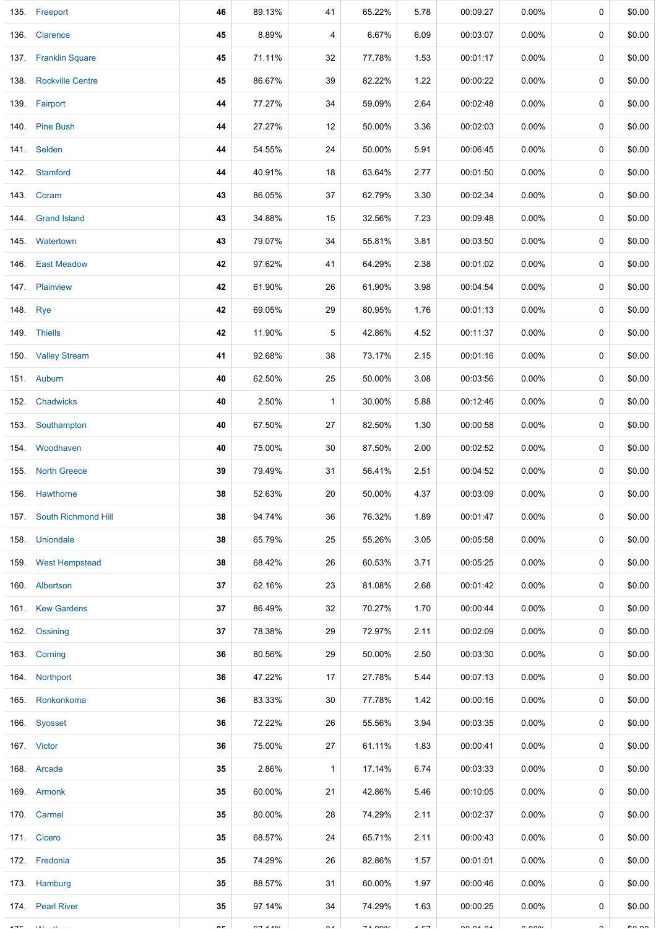|          | 135. Freeport            | 46 | 89.13%      | 41           | 65.22%                        | 5.78           | 00:09:27                 | $0.00\%$             | 0 | \$0.00        |
|----------|--------------------------|----|-------------|--------------|-------------------------------|----------------|--------------------------|----------------------|---|---------------|
|          | 136. Clarence            | 45 | 8.89%       | 4            | 6.67%                         | 6.09           | 00:03:07                 | $0.00\%$             | 0 | \$0.00        |
|          | 137. Franklin Square     | 45 | 71.11%      | 32           | 77.78%                        | 1.53           | 00:01:17                 | $0.00\%$             | 0 | \$0.00        |
|          | 138. Rockville Centre    | 45 | 86.67%      | 39           | 82.22%                        | 1.22           | 00:00:22                 | 0.00%                | 0 | \$0.00        |
|          | 139. Fairport            | 44 | 77.27%      | 34           | 59.09%                        | 2.64           | 00:02:48                 | 0.00%                | 0 | \$0.00        |
|          | 140. Pine Bush           | 44 | 27.27%      | 12           | 50.00%                        | 3.36           | 00:02:03                 | 0.00%                | 0 | \$0.00        |
|          | 141. Selden              | 44 | 54.55%      | 24           | 50.00%                        | 5.91           | 00:06:45                 | 0.00%                | 0 | \$0.00        |
|          | 142. Stamford            | 44 | 40.91%      | 18           | 63.64%                        | 2.77           | 00:01:50                 | 0.00%                | 0 | \$0.00        |
|          | 143. Coram               | 43 | 86.05%      | 37           | 62.79%                        | 3.30           | 00:02:34                 | 0.00%                | 0 | \$0.00        |
|          | 144 Grand Island         | 43 | 34.88%      | 15           | 32.56%                        | 7.23           | 00:09:48                 | $0.00\%$             | 0 | \$0.00        |
|          | 145. Watertown           | 43 | 79.07%      | 34           | 55.81%                        | 3.81           | 00:03:50                 | $0.00\%$             | 0 | \$0.00        |
|          | 146. East Meadow         | 42 | 97.62%      | 41           | 64.29%                        | 2.38           | 00:01:02                 | $0.00\%$             | 0 | \$0.00        |
|          | 147. Plainview           | 42 | 61.90%      | 26           | 61.90%                        | 3.98           | 00:04:54                 | 0.00%                | 0 | \$0.00        |
| 148. Rye |                          | 42 | 69.05%      | 29           | 80.95%                        | 1.76           | 00:01:13                 | $0.00\%$             | 0 | \$0.00        |
|          | 149. Thiells             | 42 | 11.90%      | 5            | 42.86%                        | 4.52           | 00:11:37                 | 0.00%                | 0 | \$0.00        |
|          | 150. Valley Stream       | 41 | 92.68%      | 38           | 73.17%                        | 2.15           | 00:01:16                 | 0.00%                | 0 | \$0.00        |
|          | 151. Auburn              | 40 | 62.50%      | 25           | 50.00%                        | 3.08           | 00:03:56                 | $0.00\%$             | 0 | \$0.00        |
| 152.     | Chadwicks                | 40 | 2.50%       | $\mathbf{1}$ | 30.00%                        | 5.88           | 00:12:46                 | $0.00\%$             | 0 | \$0.00        |
| 153.     | Southampton              | 40 | 67.50%      | 27           | 82.50%                        | 1.30           | 00:00:58                 | 0.00%                | 0 | \$0.00        |
|          | 154 Woodhaven            | 40 | 75.00%      | 30           | 87.50%                        | 2.00           | 00:02:52                 | $0.00\%$             | 0 | \$0.00        |
|          | 155. North Greece        | 39 | 79.49%      | 31           | 56.41%                        | 2.51           | 00:04:52                 | 0.00%                | 0 | \$0.00        |
|          | 156. Hawthorne           | 38 | 52.63%      | 20           | 50.00%                        | 4.37           | 00:03:09                 | $0.00\%$             | 0 | \$0.00        |
|          | 157. South Richmond Hill | 38 | 94.74%      | 36           | 76.32%                        | 1.89           | 00:01:47                 | $0.00\%$             | 0 | \$0.00        |
|          | 158. Uniondale           | 38 | 65.79%      | 25           | 55.26%                        | 3.05           | 00:05:58                 | $0.00\%$             | 0 | \$0.00        |
|          | 159. West Hempstead      | 38 | 68.42%      | 26           | 60.53%                        | 3.71           | 00:05:25                 | $0.00\%$             | 0 | \$0.00        |
|          | 160. Albertson           | 37 | 62.16%      | 23           | 81.08%                        | 2.68           | 00:01:42                 | $0.00\%$             | 0 | \$0.00        |
|          | 161. Kew Gardens         | 37 | 86.49%      | 32           | 70.27%                        | 1.70           | 00:00:44                 | $0.00\%$             | 0 | \$0.00        |
|          | 162. Ossining            | 37 | 78.38%      | 29           | 72.97%                        | 2.11           | 00:02:09                 | $0.00\%$             | 0 | \$0.00        |
|          | 163. Corning             | 36 | 80.56%      | 29           | 50.00%                        | 2.50           | 00:03:30                 | $0.00\%$             | 0 | \$0.00        |
|          | 164. Northport           | 36 | 47.22%      | 17           | 27.78%                        | 5.44           | 00:07:13                 | $0.00\%$             | 0 | \$0.00        |
|          | 165 Ronkonkoma           | 36 | 83.33%      | 30           | 77.78%                        | 1.42           | 00:00:16                 | $0.00\%$             | 0 | \$0.00        |
|          | 166. Syosset             | 36 | 72.22%      | 26           | 55.56%                        | 3.94           | 00:03:35                 | $0.00\%$             | 0 | \$0.00        |
|          | 167. Victor              | 36 | 75.00%      | 27           | 61.11%                        | 1.83           | 00:00:41                 | $0.00\%$             | 0 | \$0.00        |
|          | 168. Arcade              | 35 | 2.86%       | $\mathbf{1}$ | 17.14%                        | 6.74           | 00:03:33                 | $0.00\%$             | 0 | \$0.00        |
|          | 169. Armonk              | 35 | 60.00%      | 21           | 42.86%                        | 5.46           | 00:10:05                 | $0.00\%$             | 0 | \$0.00        |
|          | 170. Carmel              | 35 | 80.00%      | 28           | 74.29%                        | 2.11           | 00:02:37                 | $0.00\%$             | 0 | \$0.00        |
|          | 171. Cicero              | 35 | 68.57%      | 24           | 65.71%                        | 2.11           | 00:00:43                 | $0.00\%$             | 0 | \$0.00        |
|          | 172. Fredonia            | 35 | 74.29%      | 26           | 82.86%                        | 1.57           | 00:01:01                 | $0.00\%$             | 0 | \$0.00        |
|          | 173. Hamburg             | 35 | 88.57%      | 31           | 60.00%                        | 1.97           | 00:00:46                 | $0.00\%$             | 0 | \$0.00        |
|          | 174. Pearl River         | 35 | 97.14%      | 34           | 74.29%                        | 1.63           | 00:00:25                 | $0.00\%$             | 0 | \$0.00        |
|          | 3.8.8                    |    | $- - - - -$ | $\sim$       | $\frac{1}{2}$ . $\frac{1}{2}$ | $\overline{a}$ | $\overline{\phantom{a}}$ | $\sim$ $\sim$ $\sim$ |   | $\sim$ $\sim$ |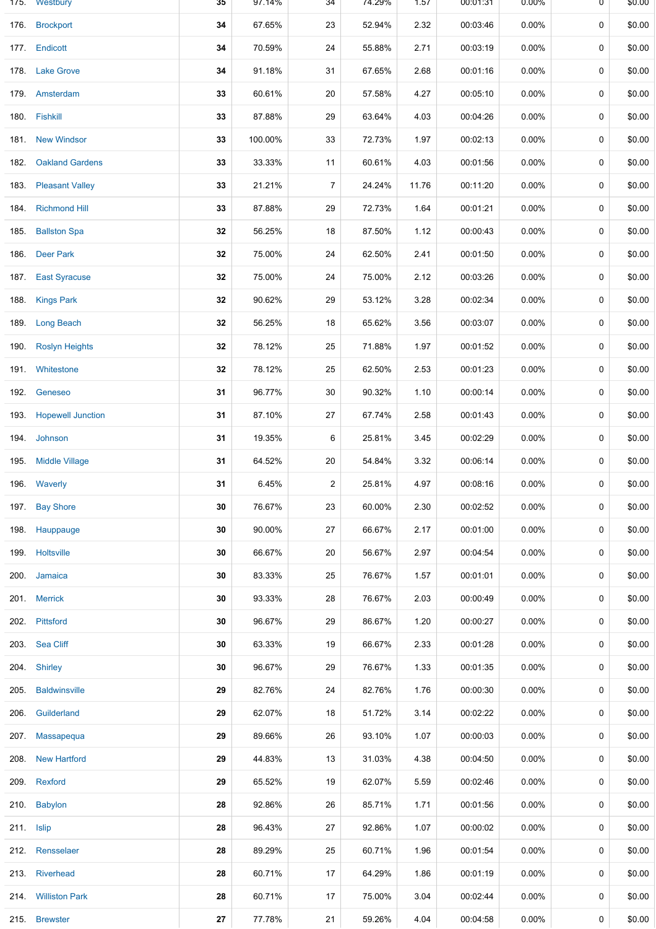|            | 175. Westbury            | 35 | 97.14%  | 34             | 74.29% | 1.57  | 00:01:31 | $0.00\%$ | 0 | \$0.00 |
|------------|--------------------------|----|---------|----------------|--------|-------|----------|----------|---|--------|
| 176.       | <b>Brockport</b>         | 34 | 67.65%  | 23             | 52.94% | 2.32  | 00:03:46 | $0.00\%$ | 0 | \$0.00 |
|            | 177. Endicott            | 34 | 70.59%  | 24             | 55.88% | 2.71  | 00:03:19 | $0.00\%$ | 0 | \$0.00 |
| 178.       | <b>Lake Grove</b>        | 34 | 91.18%  | 31             | 67.65% | 2.68  | 00:01:16 | $0.00\%$ | 0 | \$0.00 |
|            | 179. Amsterdam           | 33 | 60.61%  | 20             | 57.58% | 4.27  | 00:05:10 | $0.00\%$ | 0 | \$0.00 |
| 180.       | Fishkill                 | 33 | 87.88%  | 29             | 63.64% | 4.03  | 00:04:26 | 0.00%    | 0 | \$0.00 |
|            | 181 New Windsor          | 33 | 100.00% | 33             | 72.73% | 1.97  | 00:02:13 | $0.00\%$ | 0 | \$0.00 |
| 182.       | <b>Oakland Gardens</b>   | 33 | 33.33%  | 11             | 60.61% | 4.03  | 00:01:56 | $0.00\%$ | 0 | \$0.00 |
| 183.       | <b>Pleasant Valley</b>   | 33 | 21.21%  | $\overline{7}$ | 24.24% | 11.76 | 00:11:20 | $0.00\%$ | 0 | \$0.00 |
| 184.       | <b>Richmond Hill</b>     | 33 | 87.88%  | 29             | 72.73% | 1.64  | 00:01:21 | $0.00\%$ | 0 | \$0.00 |
| 185.       | <b>Ballston Spa</b>      | 32 | 56.25%  | 18             | 87.50% | 1.12  | 00:00:43 | $0.00\%$ | 0 | \$0.00 |
| 186.       | <b>Deer Park</b>         | 32 | 75.00%  | 24             | 62.50% | 2.41  | 00:01:50 | 0.00%    | 0 | \$0.00 |
| 187.       | <b>East Syracuse</b>     | 32 | 75.00%  | 24             | 75.00% | 2.12  | 00:03:26 | $0.00\%$ | 0 | \$0.00 |
| 188.       | <b>Kings Park</b>        | 32 | 90.62%  | 29             | 53.12% | 3.28  | 00:02:34 | $0.00\%$ | 0 | \$0.00 |
| 189.       | <b>Long Beach</b>        | 32 | 56.25%  | 18             | 65.62% | 3.56  | 00:03:07 | $0.00\%$ | 0 | \$0.00 |
| 190.       | <b>Roslyn Heights</b>    | 32 | 78.12%  | 25             | 71.88% | 1.97  | 00:01:52 | $0.00\%$ | 0 | \$0.00 |
| 191.       | Whitestone               | 32 | 78.12%  | 25             | 62.50% | 2.53  | 00:01:23 | $0.00\%$ | 0 | \$0.00 |
| 192.       | Geneseo                  | 31 | 96.77%  | 30             | 90.32% | 1.10  | 00:00:14 | $0.00\%$ | 0 | \$0.00 |
| 193.       | <b>Hopewell Junction</b> | 31 | 87.10%  | 27             | 67.74% | 2.58  | 00:01:43 | $0.00\%$ | 0 | \$0.00 |
| 194.       | Johnson                  | 31 | 19.35%  | 6              | 25.81% | 3.45  | 00:02:29 | $0.00\%$ | 0 | \$0.00 |
| 195.       | <b>Middle Village</b>    | 31 | 64.52%  | 20             | 54.84% | 3.32  | 00:06:14 | 0.00%    | 0 | \$0.00 |
|            | 196. Waverly             | 31 | 6.45%   | 2              | 25.81% | 4.97  | 00:08:16 | $0.00\%$ | 0 | \$0.00 |
|            | 197. Bay Shore           | 30 | 76.67%  | 23             | 60.00% | 2.30  | 00:02:52 | $0.00\%$ | 0 | \$0.00 |
|            | 198. Hauppauge           | 30 | 90.00%  | 27             | 66.67% | 2.17  | 00:01:00 | $0.00\%$ | 0 | \$0.00 |
|            | 199. Holtsville          | 30 | 66.67%  | 20             | 56.67% | 2.97  | 00:04:54 | $0.00\%$ | 0 | \$0.00 |
|            | 200. Jamaica             | 30 | 83.33%  | 25             | 76.67% | 1.57  | 00:01:01 | $0.00\%$ | 0 | \$0.00 |
|            | 201. Merrick             | 30 | 93.33%  | 28             | 76.67% | 2.03  | 00:00:49 | $0.00\%$ | 0 | \$0.00 |
| 202.       | Pittsford                | 30 | 96.67%  | 29             | 86.67% | 1.20  | 00:00:27 | $0.00\%$ | 0 | \$0.00 |
|            | 203. Sea Cliff           | 30 | 63.33%  | 19             | 66.67% | 2.33  | 00:01:28 | 0.00%    | 0 | \$0.00 |
|            | 204. Shirley             | 30 | 96.67%  | 29             | 76.67% | 1.33  | 00:01:35 | $0.00\%$ | 0 | \$0.00 |
| 205.       | <b>Baldwinsville</b>     | 29 | 82.76%  | 24             | 82.76% | 1.76  | 00:00:30 | $0.00\%$ | 0 | \$0.00 |
| 206.       | Guilderland              | 29 | 62.07%  | 18             | 51.72% | 3.14  | 00:02:22 | $0.00\%$ | 0 | \$0.00 |
|            | 207. Massapequa          | 29 | 89.66%  | 26             | 93.10% | 1.07  | 00:00:03 | $0.00\%$ | 0 | \$0.00 |
| 208.       | <b>New Hartford</b>      | 29 | 44.83%  | 13             | 31.03% | 4.38  | 00:04:50 | $0.00\%$ | 0 | \$0.00 |
| 209.       | Rexford                  | 29 | 65.52%  | 19             | 62.07% | 5.59  | 00:02:46 | $0.00\%$ | 0 | \$0.00 |
|            | 210. Babylon             | 28 | 92.86%  | 26             | 85.71% | 1.71  | 00:01:56 | $0.00\%$ | 0 | \$0.00 |
| 211. Islip |                          | 28 | 96.43%  | 27             | 92.86% | 1.07  | 00:00:02 | $0.00\%$ | 0 | \$0.00 |
|            | 212. Rensselaer          | 28 | 89.29%  | 25             | 60.71% | 1.96  | 00:01:54 | $0.00\%$ | 0 | \$0.00 |
|            | 213. Riverhead           | 28 | 60.71%  | 17             | 64.29% | 1.86  | 00:01:19 | $0.00\%$ | 0 | \$0.00 |
|            | 214. Williston Park      | 28 | 60.71%  | 17             | 75.00% | 3.04  | 00:02:44 | $0.00\%$ | 0 | \$0.00 |
|            | 215. Brewster            | 27 | 77.78%  | 21             | 59.26% | 4.04  | 00:04:58 | $0.00\%$ | 0 | \$0.00 |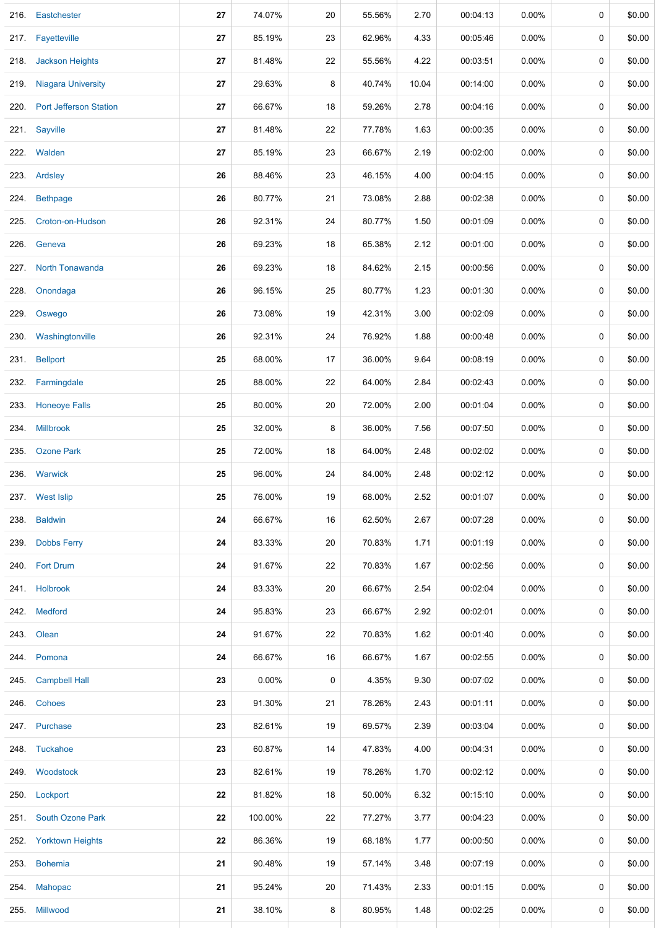| 216. | Eastchester                   | 27 | 74.07%   | 20 | 55.56% | 2.70  | 00:04:13 | $0.00\%$ | 0 | \$0.00 |
|------|-------------------------------|----|----------|----|--------|-------|----------|----------|---|--------|
| 217. | Fayetteville                  | 27 | 85.19%   | 23 | 62.96% | 4.33  | 00:05:46 | $0.00\%$ | 0 | \$0.00 |
| 218. | <b>Jackson Heights</b>        | 27 | 81.48%   | 22 | 55.56% | 4.22  | 00:03:51 | $0.00\%$ | 0 | \$0.00 |
| 219. | <b>Niagara University</b>     | 27 | 29.63%   | 8  | 40.74% | 10.04 | 00:14:00 | $0.00\%$ | 0 | \$0.00 |
| 220. | <b>Port Jefferson Station</b> | 27 | 66.67%   | 18 | 59.26% | 2.78  | 00:04:16 | $0.00\%$ | 0 | \$0.00 |
| 221. | Sayville                      | 27 | 81.48%   | 22 | 77.78% | 1.63  | 00:00:35 | $0.00\%$ | 0 | \$0.00 |
|      | 222. Walden                   | 27 | 85.19%   | 23 | 66.67% | 2.19  | 00:02:00 | $0.00\%$ | 0 | \$0.00 |
|      | 223. Ardsley                  | 26 | 88.46%   | 23 | 46.15% | 4.00  | 00:04:15 | $0.00\%$ | 0 | \$0.00 |
| 224. | <b>Bethpage</b>               | 26 | 80.77%   | 21 | 73.08% | 2.88  | 00:02:38 | $0.00\%$ | 0 | \$0.00 |
| 225. | Croton-on-Hudson              | 26 | 92.31%   | 24 | 80.77% | 1.50  | 00:01:09 | $0.00\%$ | 0 | \$0.00 |
| 226. | Geneva                        | 26 | 69.23%   | 18 | 65.38% | 2.12  | 00:01:00 | $0.00\%$ | 0 | \$0.00 |
| 227. | <b>North Tonawanda</b>        | 26 | 69.23%   | 18 | 84.62% | 2.15  | 00:00:56 | $0.00\%$ | 0 | \$0.00 |
| 228. | Onondaga                      | 26 | 96.15%   | 25 | 80.77% | 1.23  | 00:01:30 | $0.00\%$ | 0 | \$0.00 |
| 229. | Oswego                        | 26 | 73.08%   | 19 | 42.31% | 3.00  | 00:02:09 | $0.00\%$ | 0 | \$0.00 |
| 230. | Washingtonville               | 26 | 92.31%   | 24 | 76.92% | 1.88  | 00:00:48 | $0.00\%$ | 0 | \$0.00 |
| 231. | <b>Bellport</b>               | 25 | 68.00%   | 17 | 36.00% | 9.64  | 00:08:19 | 0.00%    | 0 | \$0.00 |
| 232. | Farmingdale                   | 25 | 88.00%   | 22 | 64.00% | 2.84  | 00:02:43 | 0.00%    | 0 | \$0.00 |
| 233. | <b>Honeoye Falls</b>          | 25 | 80.00%   | 20 | 72.00% | 2.00  | 00:01:04 | $0.00\%$ | 0 | \$0.00 |
| 234. | <b>Millbrook</b>              | 25 | 32.00%   | 8  | 36.00% | 7.56  | 00:07:50 | $0.00\%$ | 0 | \$0.00 |
| 235. | <b>Ozone Park</b>             | 25 | 72.00%   | 18 | 64.00% | 2.48  | 00:02:02 | $0.00\%$ | 0 | \$0.00 |
| 236. | Warwick                       | 25 | 96.00%   | 24 | 84.00% | 2.48  | 00:02:12 | $0.00\%$ | 0 | \$0.00 |
|      | 237. West Islip               | 25 | 76.00%   | 19 | 68.00% | 2.52  | 00:01:07 | $0.00\%$ | 0 | \$0.00 |
| 238. | <b>Baldwin</b>                | 24 | 66.67%   | 16 | 62.50% | 2.67  | 00:07:28 | $0.00\%$ | 0 | \$0.00 |
| 239. | <b>Dobbs Ferry</b>            | 24 | 83.33%   | 20 | 70.83% | 1.71  | 00:01:19 | $0.00\%$ | 0 | \$0.00 |
|      | 240. Fort Drum                | 24 | 91.67%   | 22 | 70.83% | 1.67  | 00:02:56 | 0.00%    | 0 | \$0.00 |
|      | 241. Holbrook                 | 24 | 83.33%   | 20 | 66.67% | 2.54  | 00:02:04 | $0.00\%$ | 0 | \$0.00 |
|      | 242. Medford                  | 24 | 95.83%   | 23 | 66.67% | 2.92  | 00:02:01 | $0.00\%$ | 0 | \$0.00 |
|      | 243. Olean                    | 24 | 91.67%   | 22 | 70.83% | 1.62  | 00:01:40 | $0.00\%$ | 0 | \$0.00 |
|      | 244. Pomona                   | 24 | 66.67%   | 16 | 66.67% | 1.67  | 00:02:55 | $0.00\%$ | 0 | \$0.00 |
|      | 245. Campbell Hall            | 23 | $0.00\%$ | 0  | 4.35%  | 9.30  | 00:07:02 | $0.00\%$ | 0 | \$0.00 |
|      | 246. Cohoes                   | 23 | 91.30%   | 21 | 78.26% | 2.43  | 00:01:11 | $0.00\%$ | 0 | \$0.00 |
|      | 247. Purchase                 | 23 | 82.61%   | 19 | 69.57% | 2.39  | 00:03:04 | $0.00\%$ | 0 | \$0.00 |
|      | 248. Tuckahoe                 | 23 | 60.87%   | 14 | 47.83% | 4.00  | 00:04:31 | $0.00\%$ | 0 | \$0.00 |
|      | 249. Woodstock                | 23 | 82.61%   | 19 | 78.26% | 1.70  | 00:02:12 | $0.00\%$ | 0 | \$0.00 |
|      | 250. Lockport                 | 22 | 81.82%   | 18 | 50.00% | 6.32  | 00:15:10 | $0.00\%$ | 0 | \$0.00 |
|      | 251. South Ozone Park         | 22 | 100.00%  | 22 | 77.27% | 3.77  | 00:04:23 | $0.00\%$ | 0 | \$0.00 |
|      | 252. Yorktown Heights         | 22 | 86.36%   | 19 | 68.18% | 1.77  | 00:00:50 | $0.00\%$ | 0 | \$0.00 |
|      | 253. Bohemia                  | 21 | 90.48%   | 19 | 57.14% | 3.48  | 00:07:19 | $0.00\%$ | 0 | \$0.00 |
| 254. | <b>Mahopac</b>                | 21 | 95.24%   | 20 | 71.43% | 2.33  | 00:01:15 | $0.00\%$ | 0 | \$0.00 |
|      | 255. Millwood                 | 21 | 38.10%   | 8  | 80.95% | 1.48  | 00:02:25 | 0.00%    | 0 | \$0.00 |
|      |                               |    |          |    |        |       |          |          |   |        |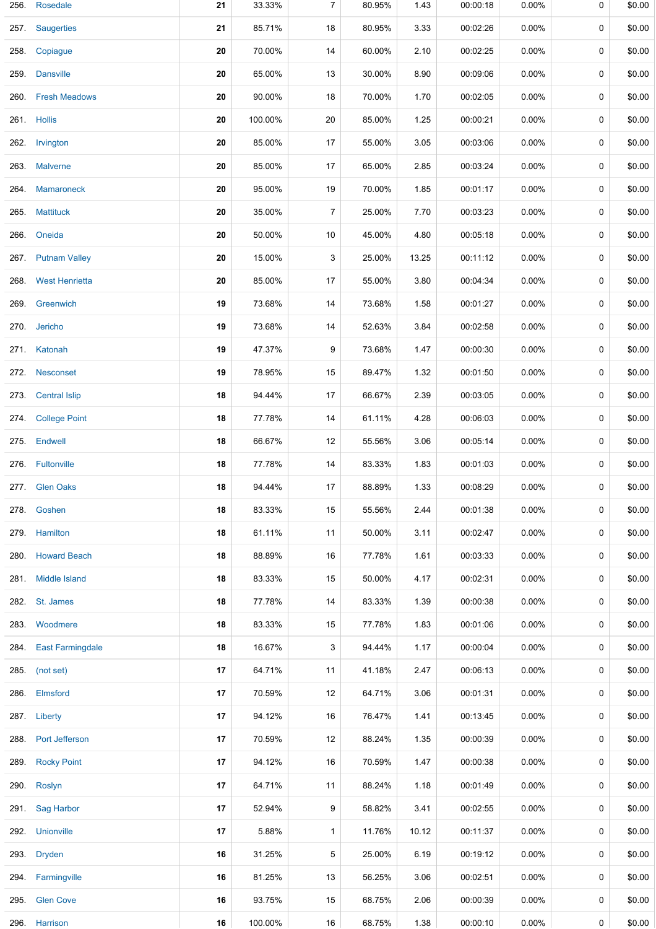| 256. | Rosedale              | 21 | 33.33%  | 7  | 80.95% | 1.43  | 00:00:18 | 0.00%    | 0 | \$0.00 |
|------|-----------------------|----|---------|----|--------|-------|----------|----------|---|--------|
|      | 257. Saugerties       | 21 | 85.71%  | 18 | 80.95% | 3.33  | 00:02:26 | $0.00\%$ | 0 | \$0.00 |
| 258. | Copiague              | 20 | 70.00%  | 14 | 60.00% | 2.10  | 00:02:25 | $0.00\%$ | 0 | \$0.00 |
|      | 259. Dansville        | 20 | 65.00%  | 13 | 30.00% | 8.90  | 00:09:06 | $0.00\%$ | 0 | \$0.00 |
| 260. | <b>Fresh Meadows</b>  | 20 | 90.00%  | 18 | 70.00% | 1.70  | 00:02:05 | 0.00%    | 0 | \$0.00 |
|      | 261. Hollis           | 20 | 100.00% | 20 | 85.00% | 1.25  | 00:00:21 | $0.00\%$ | 0 | \$0.00 |
| 262. | Irvington             | 20 | 85.00%  | 17 | 55.00% | 3.05  | 00:03:06 | 0.00%    | 0 | \$0.00 |
|      | 263. Malverne         | 20 | 85.00%  | 17 | 65.00% | 2.85  | 00:03:24 | $0.00\%$ | 0 | \$0.00 |
| 264. | Mamaroneck            | 20 | 95.00%  | 19 | 70.00% | 1.85  | 00:01:17 | 0.00%    | 0 | \$0.00 |
| 265. | <b>Mattituck</b>      | 20 | 35.00%  | 7  | 25.00% | 7.70  | 00:03:23 | 0.00%    | 0 | \$0.00 |
|      | 266. Oneida           | 20 | 50.00%  | 10 | 45.00% | 4.80  | 00:05:18 | $0.00\%$ | 0 | \$0.00 |
|      | 267. Putnam Valley    | 20 | 15.00%  | 3  | 25.00% | 13.25 | 00:11:12 | $0.00\%$ | 0 | \$0.00 |
|      | 268 West Henrietta    | 20 | 85.00%  | 17 | 55.00% | 3.80  | 00:04:34 | $0.00\%$ | 0 | \$0.00 |
|      | 269. Greenwich        | 19 | 73.68%  | 14 | 73.68% | 1.58  | 00:01:27 | $0.00\%$ | 0 | \$0.00 |
|      | 270. Jericho          | 19 | 73.68%  | 14 | 52.63% | 3.84  | 00:02:58 | $0.00\%$ | 0 | \$0.00 |
|      | 271. Katonah          | 19 | 47.37%  | 9  | 73.68% | 1.47  | 00:00:30 | $0.00\%$ | 0 | \$0.00 |
|      | 272. Nesconset        | 19 | 78.95%  | 15 | 89.47% | 1.32  | 00:01:50 | $0.00\%$ | 0 | \$0.00 |
| 273. | <b>Central Islip</b>  | 18 | 94.44%  | 17 | 66.67% | 2.39  | 00:03:05 | $0.00\%$ | 0 | \$0.00 |
|      | 274. College Point    | 18 | 77.78%  | 14 | 61.11% | 4.28  | 00:06:03 | $0.00\%$ | 0 | \$0.00 |
| 275. | <b>Endwell</b>        | 18 | 66.67%  | 12 | 55.56% | 3.06  | 00:05:14 | $0.00\%$ | 0 | \$0.00 |
|      | 276. Fultonville      | 18 | 77.78%  | 14 | 83.33% | 1.83  | 00:01:03 | $0.00\%$ | 0 | \$0.00 |
|      | 277 Glen Oaks         | 18 | 94.44%  | 17 | 88.89% | 1.33  | 00:08:29 | 0.00%    | 0 | \$0.00 |
|      | 278. Goshen           | 18 | 83.33%  | 15 | 55.56% | 2.44  | 00:01:38 | 0.00%    | 0 | \$0.00 |
|      | 279. Hamilton         | 18 | 61.11%  | 11 | 50.00% | 3.11  | 00:02:47 | $0.00\%$ | 0 | \$0.00 |
|      | 280. Howard Beach     | 18 | 88.89%  | 16 | 77.78% | 1.61  | 00:03:33 | $0.00\%$ | 0 | \$0.00 |
|      | 281. Middle Island    | 18 | 83.33%  | 15 | 50.00% | 4.17  | 00:02:31 | $0.00\%$ | 0 | \$0.00 |
|      | 282. St. James        | 18 | 77.78%  | 14 | 83.33% | 1.39  | 00:00:38 | $0.00\%$ | 0 | \$0.00 |
|      | 283. Woodmere         | 18 | 83.33%  | 15 | 77.78% | 1.83  | 00:01:06 | $0.00\%$ | 0 | \$0.00 |
|      | 284. East Farmingdale | 18 | 16.67%  | 3  | 94.44% | 1.17  | 00:00:04 | $0.00\%$ | 0 | \$0.00 |
|      | 285. (not set)        | 17 | 64.71%  | 11 | 41.18% | 2.47  | 00:06:13 | $0.00\%$ | 0 | \$0.00 |
|      | 286. Elmsford         | 17 | 70.59%  | 12 | 64.71% | 3.06  | 00:01:31 | $0.00\%$ | 0 | \$0.00 |
|      | 287. Liberty          | 17 | 94.12%  | 16 | 76.47% | 1.41  | 00:13:45 | $0.00\%$ | 0 | \$0.00 |
| 288. | Port Jefferson        | 17 | 70.59%  | 12 | 88.24% | 1.35  | 00:00:39 | $0.00\%$ | 0 | \$0.00 |
|      | 289. Rocky Point      | 17 | 94.12%  | 16 | 70.59% | 1.47  | 00:00:38 | $0.00\%$ | 0 | \$0.00 |
|      | 290. Roslyn           | 17 | 64.71%  | 11 | 88.24% | 1.18  | 00:01:49 | $0.00\%$ | 0 | \$0.00 |
|      | 291. Sag Harbor       | 17 | 52.94%  | 9  | 58.82% | 3.41  | 00:02:55 | $0.00\%$ | 0 | \$0.00 |
|      | 292. Unionville       | 17 | 5.88%   | 1  | 11.76% | 10.12 | 00:11:37 | 0.00%    | 0 | \$0.00 |
|      | 293. Dryden           | 16 | 31.25%  | 5  | 25.00% | 6.19  | 00:19:12 | $0.00\%$ | 0 | \$0.00 |
|      | 294. Farmingville     | 16 | 81.25%  | 13 | 56.25% | 3.06  | 00:02:51 | 0.00%    | 0 | \$0.00 |
|      | 295. Glen Cove        | 16 | 93.75%  | 15 | 68.75% | 2.06  | 00:00:39 | $0.00\%$ | 0 | \$0.00 |
|      | 296. Harrison         | 16 | 100.00% | 16 | 68.75% | 1.38  | 00:00:10 | $0.00\%$ | 0 | \$0.00 |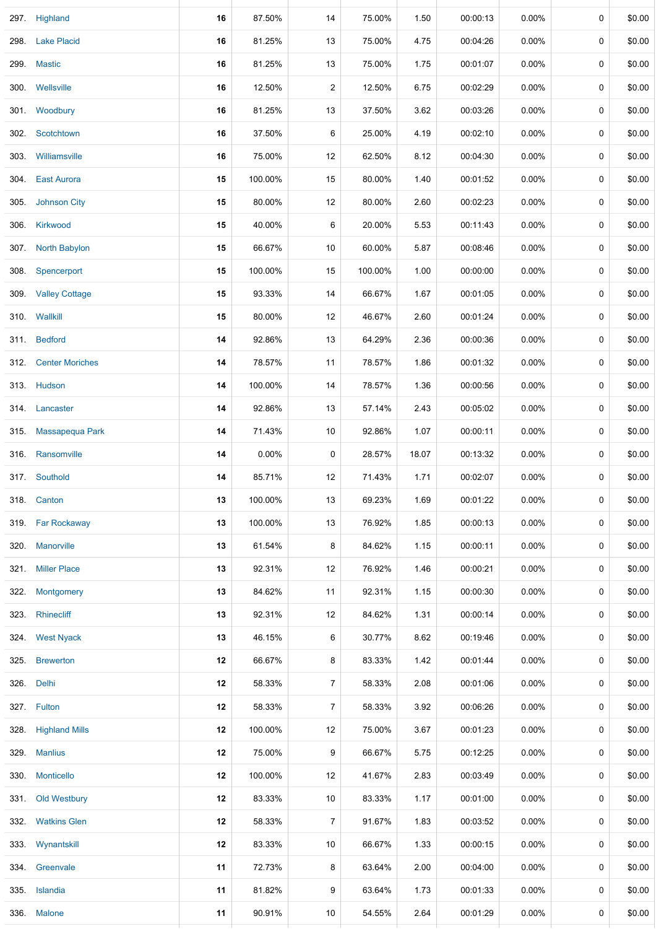|      | 297. Highland          | 16 | 87.50%  | 14             | 75.00%  | 1.50  | 00:00:13 | 0.00%    | 0 | \$0.00 |
|------|------------------------|----|---------|----------------|---------|-------|----------|----------|---|--------|
| 298. | <b>Lake Placid</b>     | 16 | 81.25%  | 13             | 75.00%  | 4.75  | 00:04:26 | $0.00\%$ | 0 | \$0.00 |
| 299. | <b>Mastic</b>          | 16 | 81.25%  | 13             | 75.00%  | 1.75  | 00:01:07 | 0.00%    | 0 | \$0.00 |
|      | 300. Wellsville        | 16 | 12.50%  | 2              | 12.50%  | 6.75  | 00:02:29 | 0.00%    | 0 | \$0.00 |
|      | 301. Woodbury          | 16 | 81.25%  | 13             | 37.50%  | 3.62  | 00:03:26 | 0.00%    | 0 | \$0.00 |
|      | 302. Scotchtown        | 16 | 37.50%  | 6              | 25.00%  | 4.19  | 00:02:10 | $0.00\%$ | 0 | \$0.00 |
|      | 303. Williamsville     | 16 | 75.00%  | 12             | 62.50%  | 8.12  | 00:04:30 | 0.00%    | 0 | \$0.00 |
|      | 304. East Aurora       | 15 | 100.00% | 15             | 80.00%  | 1.40  | 00:01:52 | $0.00\%$ | 0 | \$0.00 |
|      | 305. Johnson City      | 15 | 80.00%  | 12             | 80.00%  | 2.60  | 00:02:23 | $0.00\%$ | 0 | \$0.00 |
|      | 306. Kirkwood          | 15 | 40.00%  | 6              | 20.00%  | 5.53  | 00:11:43 | $0.00\%$ | 0 | \$0.00 |
|      | 307. North Babylon     | 15 | 66.67%  | 10             | 60.00%  | 5.87  | 00:08:46 | $0.00\%$ | 0 | \$0.00 |
|      | 308. Spencerport       | 15 | 100.00% | 15             | 100.00% | 1.00  | 00:00:00 | $0.00\%$ | 0 | \$0.00 |
|      | 309. Valley Cottage    | 15 | 93.33%  | 14             | 66.67%  | 1.67  | 00:01:05 | 0.00%    | 0 | \$0.00 |
| 310. | Wallkill               | 15 | 80.00%  | 12             | 46.67%  | 2.60  | 00:01:24 | $0.00\%$ | 0 | \$0.00 |
|      | 311. Bedford           | 14 | 92.86%  | 13             | 64.29%  | 2.36  | 00:00:36 | $0.00\%$ | 0 | \$0.00 |
| 312. | <b>Center Moriches</b> | 14 | 78.57%  | 11             | 78.57%  | 1.86  | 00:01:32 | 0.00%    | 0 | \$0.00 |
|      | 313. Hudson            | 14 | 100.00% | 14             | 78.57%  | 1.36  | 00:00:56 | $0.00\%$ | 0 | \$0.00 |
|      | 314. Lancaster         | 14 | 92.86%  | 13             | 57.14%  | 2.43  | 00:05:02 | 0.00%    | 0 | \$0.00 |
|      | 315. Massapequa Park   | 14 | 71.43%  | 10             | 92.86%  | 1.07  | 00:00:11 | 0.00%    | 0 | \$0.00 |
|      | 316 Ransomville        | 14 | 0.00%   | 0              | 28.57%  | 18.07 | 00:13:32 | 0.00%    | 0 | \$0.00 |
|      | 317. Southold          | 14 | 85.71%  | 12             | 71.43%  | 1.71  | 00:02:07 | $0.00\%$ | 0 | \$0.00 |
|      | 318. Canton            | 13 | 100.00% | 13             | 69.23%  | 1.69  | 00:01:22 | $0.00\%$ | 0 | \$0.00 |
|      | 319. Far Rockaway      | 13 | 100.00% | 13             | 76.92%  | 1.85  | 00:00:13 | $0.00\%$ | 0 | \$0.00 |
|      | 320. Manorville        | 13 | 61.54%  | 8              | 84.62%  | 1.15  | 00:00:11 | $0.00\%$ | 0 | \$0.00 |
|      | 321. Miller Place      | 13 | 92.31%  | 12             | 76.92%  | 1.46  | 00:00:21 | $0.00\%$ | 0 | \$0.00 |
|      | 322. Montgomery        | 13 | 84.62%  | 11             | 92.31%  | 1.15  | 00:00:30 | $0.00\%$ | 0 | \$0.00 |
|      | 323. Rhinecliff        | 13 | 92.31%  | 12             | 84.62%  | 1.31  | 00:00:14 | $0.00\%$ | 0 | \$0.00 |
|      | 324. West Nyack        | 13 | 46.15%  | 6              | 30.77%  | 8.62  | 00:19:46 | $0.00\%$ | 0 | \$0.00 |
|      | 325. Brewerton         | 12 | 66.67%  | 8              | 83.33%  | 1.42  | 00:01:44 | $0.00\%$ | 0 | \$0.00 |
|      | 326. Delhi             | 12 | 58.33%  | $\overline{7}$ | 58.33%  | 2.08  | 00:01:06 | $0.00\%$ | 0 | \$0.00 |
|      | 327. Fulton            | 12 | 58.33%  | $\overline{7}$ | 58.33%  | 3.92  | 00:06:26 | $0.00\%$ | 0 | \$0.00 |
|      | 328. Highland Mills    | 12 | 100.00% | 12             | 75.00%  | 3.67  | 00:01:23 | $0.00\%$ | 0 | \$0.00 |
|      | 329. Manlius           | 12 | 75.00%  | 9              | 66.67%  | 5.75  | 00:12:25 | $0.00\%$ | 0 | \$0.00 |
|      | 330. Monticello        | 12 | 100.00% | 12             | 41.67%  | 2.83  | 00:03:49 | $0.00\%$ | 0 | \$0.00 |
|      | 331. Old Westbury      | 12 | 83.33%  | 10             | 83.33%  | 1.17  | 00:01:00 | $0.00\%$ | 0 | \$0.00 |
|      | 332. Watkins Glen      | 12 | 58.33%  | $\overline{7}$ | 91.67%  | 1.83  | 00:03:52 | $0.00\%$ | 0 | \$0.00 |
|      | 333. Wynantskill       | 12 | 83.33%  | 10             | 66.67%  | 1.33  | 00:00:15 | $0.00\%$ | 0 | \$0.00 |
|      | 334. Greenvale         | 11 | 72.73%  | 8              | 63.64%  | 2.00  | 00:04:00 | $0.00\%$ | 0 | \$0.00 |
|      | 335. Islandia          | 11 | 81.82%  | 9              | 63.64%  | 1.73  | 00:01:33 | $0.00\%$ | 0 | \$0.00 |
|      | 336. Malone            | 11 | 90.91%  | 10             | 54.55%  | 2.64  | 00:01:29 | $0.00\%$ | 0 | \$0.00 |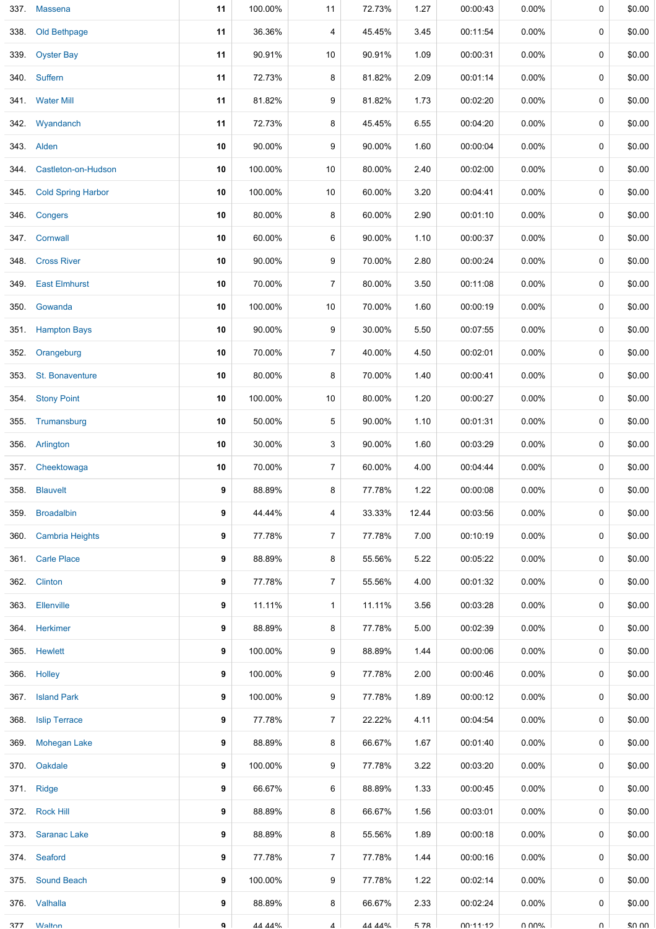| 337. | <b>Massena</b>            | 11 | 100.00% | 11             | 72.73% | 1.27  | 00:00:43 | $0.00\%$ | 0        | \$0.00 |
|------|---------------------------|----|---------|----------------|--------|-------|----------|----------|----------|--------|
| 338. | Old Bethpage              | 11 | 36.36%  | 4              | 45.45% | 3.45  | 00:11:54 | $0.00\%$ | 0        | \$0.00 |
| 339. | <b>Oyster Bay</b>         | 11 | 90.91%  | 10             | 90.91% | 1.09  | 00:00:31 | $0.00\%$ | 0        | \$0.00 |
| 340. | Suffern                   | 11 | 72.73%  | 8              | 81.82% | 2.09  | 00:01:14 | $0.00\%$ | 0        | \$0.00 |
|      | 341. Water Mill           | 11 | 81.82%  | 9              | 81.82% | 1.73  | 00:02:20 | $0.00\%$ | 0        | \$0.00 |
| 342. | Wyandanch                 | 11 | 72.73%  | 8              | 45.45% | 6.55  | 00:04:20 | $0.00\%$ | 0        | \$0.00 |
|      | 343. Alden                | 10 | 90.00%  | 9              | 90.00% | 1.60  | 00:00:04 | $0.00\%$ | 0        | \$0.00 |
| 344. | Castleton-on-Hudson       | 10 | 100.00% | 10             | 80.00% | 2.40  | 00:02:00 | $0.00\%$ | 0        | \$0.00 |
| 345. | <b>Cold Spring Harbor</b> | 10 | 100.00% | 10             | 60.00% | 3.20  | 00:04:41 | $0.00\%$ | 0        | \$0.00 |
| 346. | Congers                   | 10 | 80.00%  | 8              | 60.00% | 2.90  | 00:01:10 | $0.00\%$ | 0        | \$0.00 |
|      | 347. Cornwall             | 10 | 60.00%  | 6              | 90.00% | 1.10  | 00:00:37 | $0.00\%$ | 0        | \$0.00 |
| 348. | <b>Cross River</b>        | 10 | 90.00%  | 9              | 70.00% | 2.80  | 00:00:24 | 0.00%    | 0        | \$0.00 |
| 349. | <b>East Elmhurst</b>      | 10 | 70.00%  | $\overline{7}$ | 80.00% | 3.50  | 00:11:08 | $0.00\%$ | 0        | \$0.00 |
| 350. | Gowanda                   | 10 | 100.00% | 10             | 70.00% | 1.60  | 00:00:19 | $0.00\%$ | 0        | \$0.00 |
| 351. | <b>Hampton Bays</b>       | 10 | 90.00%  | 9              | 30.00% | 5.50  | 00:07:55 | $0.00\%$ | 0        | \$0.00 |
| 352. | Orangeburg                | 10 | 70.00%  | $\overline{7}$ | 40.00% | 4.50  | 00:02:01 | $0.00\%$ | 0        | \$0.00 |
| 353. | St. Bonaventure           | 10 | 80.00%  | 8              | 70.00% | 1.40  | 00:00:41 | $0.00\%$ | 0        | \$0.00 |
| 354. | <b>Stony Point</b>        | 10 | 100.00% | 10             | 80.00% | 1.20  | 00:00:27 | 0.00%    | 0        | \$0.00 |
| 355. | Trumansburg               | 10 | 50.00%  | 5              | 90.00% | 1.10  | 00:01:31 | $0.00\%$ | 0        | \$0.00 |
|      | 356. Arlington            | 10 | 30.00%  | 3              | 90.00% | 1.60  | 00:03:29 | $0.00\%$ | 0        | \$0.00 |
| 357. | Cheektowaga               | 10 | 70.00%  | $\overline{7}$ | 60.00% | 4.00  | 00:04:44 | $0.00\%$ | 0        | \$0.00 |
| 358. | <b>Blauvelt</b>           | 9  | 88.89%  | 8              | 77.78% | 1.22  | 00:00:08 | $0.00\%$ | 0        | \$0.00 |
|      | 359. Broadalbin           | 9  | 44.44%  | 4              | 33.33% | 12.44 | 00:03:56 | $0.00\%$ | 0        | \$0.00 |
|      | 360. Cambria Heights      | 9  | 77.78%  | $\overline{7}$ | 77.78% | 7.00  | 00:10:19 | $0.00\%$ | 0        | \$0.00 |
|      | 361. Carle Place          | 9  | 88.89%  | 8              | 55.56% | 5.22  | 00:05:22 | $0.00\%$ | 0        | \$0.00 |
|      | 362. Clinton              | 9  | 77.78%  | $\overline{7}$ | 55.56% | 4.00  | 00:01:32 | $0.00\%$ | 0        | \$0.00 |
|      | 363. Ellenville           | 9  | 11.11%  | $\mathbf{1}$   | 11.11% | 3.56  | 00:03:28 | $0.00\%$ | 0        | \$0.00 |
|      | 364. Herkimer             | 9  | 88.89%  | 8              | 77.78% | 5.00  | 00:02:39 | $0.00\%$ | 0        | \$0.00 |
|      | 365. Hewlett              | 9  | 100.00% | 9              | 88.89% | 1.44  | 00:00:06 | $0.00\%$ | 0        | \$0.00 |
|      | 366. Holley               | 9  | 100.00% | 9              | 77.78% | 2.00  | 00:00:46 | $0.00\%$ | 0        | \$0.00 |
|      | 367. Island Park          | 9  | 100.00% | 9              | 77.78% | 1.89  | 00:00:12 | $0.00\%$ | 0        | \$0.00 |
| 368. | <b>Islip Terrace</b>      | 9  | 77.78%  | $\overline{7}$ | 22.22% | 4.11  | 00:04:54 | $0.00\%$ | 0        | \$0.00 |
| 369. | <b>Mohegan Lake</b>       | 9  | 88.89%  | 8              | 66.67% | 1.67  | 00:01:40 | $0.00\%$ | 0        | \$0.00 |
| 370. | Oakdale                   | 9  | 100.00% | 9              | 77.78% | 3.22  | 00:03:20 | $0.00\%$ | 0        | \$0.00 |
|      | 371. Ridge                | 9  | 66.67%  | 6              | 88.89% | 1.33  | 00:00:45 | $0.00\%$ | 0        | \$0.00 |
|      | 372. Rock Hill            | 9  | 88.89%  | 8              | 66.67% | 1.56  | 00:03:01 | $0.00\%$ | 0        | \$0.00 |
|      | 373. Saranac Lake         | 9  | 88.89%  | 8              | 55.56% | 1.89  | 00:00:18 | $0.00\%$ | 0        | \$0.00 |
|      | 374. Seaford              | 9  | 77.78%  | $\overline{7}$ | 77.78% | 1.44  | 00:00:16 | $0.00\%$ | 0        | \$0.00 |
|      | 375. Sound Beach          | 9  | 100.00% | 9              | 77.78% | 1.22  | 00:02:14 | $0.00\%$ | 0        | \$0.00 |
|      | 376. Valhalla             | 9  | 88.89%  | 8              | 66.67% | 2.33  | 00:02:24 | $0.00\%$ | $\Omega$ | \$0.00 |
| 377  | <b>Walton</b>             | q  | 44 44%  | $\mathbf 4$    | 44 44% | 578   | 00.11.12 | U UUN    | $\cap$   | \$0.00 |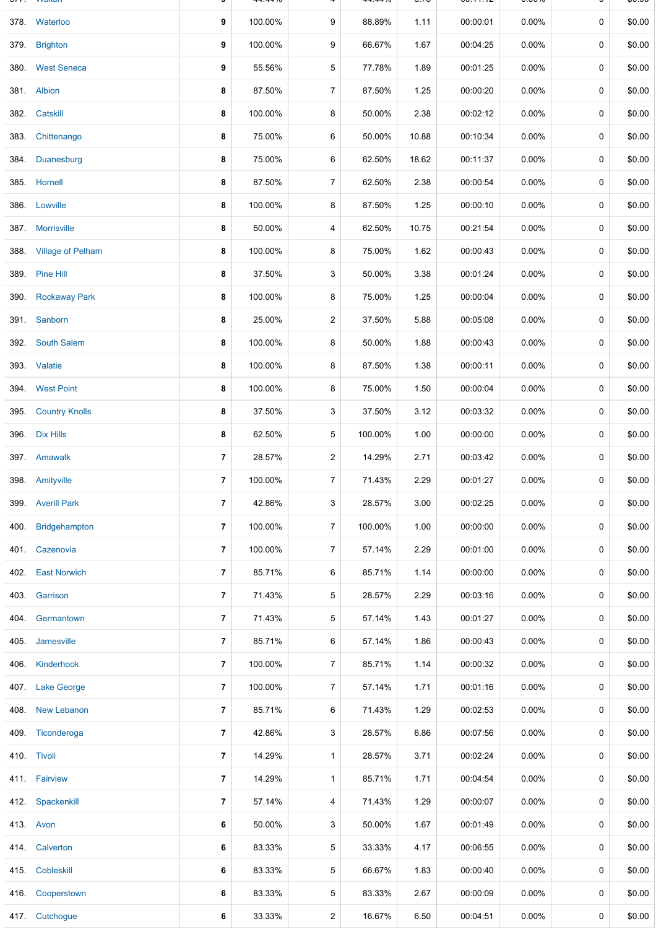|      |                        |                | –––––– <sup>70</sup> |                |         | ⊽.≀⊽  | <b>00. I I. IZ</b> | <b>0.000</b> |             | ψυ.υυ  |
|------|------------------------|----------------|----------------------|----------------|---------|-------|--------------------|--------------|-------------|--------|
|      | 378. Waterloo          | 9              | 100.00%              | 9              | 88.89%  | 1.11  | 00:00:01           | $0.00\%$     | 0           | \$0.00 |
| 379. | <b>Brighton</b>        | 9              | 100.00%              | 9              | 66.67%  | 1.67  | 00:04:25           | 0.00%        | 0           | \$0.00 |
| 380. | <b>West Seneca</b>     | 9              | 55.56%               | 5              | 77.78%  | 1.89  | 00:01:25           | $0.00\%$     | 0           | \$0.00 |
|      | 381. Albion            | 8              | 87.50%               | $\overline{7}$ | 87.50%  | 1.25  | 00:00:20           | 0.00%        | 0           | \$0.00 |
| 382. | Catskill               | 8              | 100.00%              | 8              | 50.00%  | 2.38  | 00:02:12           | 0.00%        | 0           | \$0.00 |
| 383. | Chittenango            | 8              | 75.00%               | 6              | 50.00%  | 10.88 | 00:10:34           | $0.00\%$     | 0           | \$0.00 |
|      | 384. Duanesburg        | 8              | 75.00%               | 6              | 62.50%  | 18.62 | 00:11:37           | $0.00\%$     | 0           | \$0.00 |
|      | 385. Hornell           | 8              | 87.50%               | $\overline{7}$ | 62.50%  | 2.38  | 00:00:54           | 0.00%        | $\mathbf 0$ | \$0.00 |
|      | 386. Lowville          | 8              | 100.00%              | 8              | 87.50%  | 1.25  | 00:00:10           | $0.00\%$     | 0           | \$0.00 |
|      | 387. Morrisville       | 8              | 50.00%               | 4              | 62.50%  | 10.75 | 00:21:54           | $0.00\%$     | $\mathbf 0$ | \$0.00 |
|      | 388. Village of Pelham | 8              | 100.00%              | 8              | 75.00%  | 1.62  | 00:00:43           | $0.00\%$     | 0           | \$0.00 |
|      | 389. Pine Hill         | 8              | 37.50%               | 3              | 50.00%  | 3.38  | 00:01:24           | $0.00\%$     | 0           | \$0.00 |
|      | 390. Rockaway Park     | 8              | 100.00%              | 8              | 75.00%  | 1.25  | 00:00:04           | $0.00\%$     | 0           | \$0.00 |
|      | 391. Sanborn           | 8              | 25.00%               | $\overline{c}$ | 37.50%  | 5.88  | 00:05:08           | $0.00\%$     | 0           | \$0.00 |
| 392. | <b>South Salem</b>     | 8              | 100.00%              | 8              | 50.00%  | 1.88  | 00:00:43           | $0.00\%$     | 0           | \$0.00 |
|      | 393. Valatie           | 8              | 100.00%              | 8              | 87.50%  | 1.38  | 00:00:11           | 0.00%        | 0           | \$0.00 |
| 394. | <b>West Point</b>      | 8              | 100.00%              | 8              | 75.00%  | 1.50  | 00:00:04           | 0.00%        | 0           | \$0.00 |
| 395. | <b>Country Knolls</b>  | 8              | 37.50%               | 3              | 37.50%  | 3.12  | 00:03:32           | 0.00%        | 0           | \$0.00 |
|      | 396. Dix Hills         | 8              | 62.50%               | 5              | 100.00% | 1.00  | 00:00:00           | $0.00\%$     | $\mathbf 0$ | \$0.00 |
|      | 397. Amawalk           | 7              | 28.57%               | $\overline{2}$ | 14.29%  | 2.71  | 00:03:42           | $0.00\%$     | 0           | \$0.00 |
|      | 398. Amityville        | $\overline{7}$ | 100.00%              | $\overline{7}$ | 71.43%  | 2.29  | 00:01:27           | $0.00\%$     | 0           | \$0.00 |
| 399. | <b>Averill Park</b>    | $\overline{7}$ | 42.86%               | 3              | 28.57%  | 3.00  | 00:02:25           | 0.00%        | 0           | \$0.00 |
| 400. | Bridgehampton          | 7              | 100.00%              | $\overline{7}$ | 100.00% | 1.00  | 00:00:00           | $0.00\%$     | 0           | \$0.00 |
|      | 401. Cazenovia         | $\overline{7}$ | 100.00%              | $\overline{7}$ | 57.14%  | 2.29  | 00:01:00           | $0.00\%$     | 0           | \$0.00 |
|      | 402. East Norwich      | 7              | 85.71%               | 6              | 85.71%  | 1.14  | 00:00:00           | $0.00\%$     | 0           | \$0.00 |
|      | 403. Garrison          | 7              | 71.43%               | 5              | 28.57%  | 2.29  | 00:03:16           | $0.00\%$     | 0           | \$0.00 |
|      | 404. Germantown        | 7              | 71.43%               | 5              | 57.14%  | 1.43  | 00:01:27           | $0.00\%$     | 0           | \$0.00 |
| 405. | Jamesville             | 7              | 85.71%               | 6              | 57.14%  | 1.86  | 00:00:43           | $0.00\%$     | 0           | \$0.00 |
| 406. | Kinderhook             | 7              | 100.00%              | $\overline{7}$ | 85.71%  | 1.14  | 00:00:32           | $0.00\%$     | 0           | \$0.00 |
| 407. | <b>Lake George</b>     | 7              | 100.00%              | $\overline{7}$ | 57.14%  | 1.71  | 00:01:16           | $0.00\%$     | 0           | \$0.00 |
| 408. | New Lebanon            | 7              | 85.71%               | 6              | 71.43%  | 1.29  | 00:02:53           | $0.00\%$     | 0           | \$0.00 |
| 409. | Ticonderoga            | 7              | 42.86%               | 3              | 28.57%  | 6.86  | 00:07:56           | $0.00\%$     | 0           | \$0.00 |
|      | 410. Tivoli            | 7              | 14.29%               | 1              | 28.57%  | 3.71  | 00:02:24           | $0.00\%$     | 0           | \$0.00 |
|      | 411. Fairview          | 7              | 14.29%               | $\mathbf{1}$   | 85.71%  | 1.71  | 00:04:54           | $0.00\%$     | 0           | \$0.00 |
| 412. | Spackenkill            | 7              | 57.14%               | 4              | 71.43%  | 1.29  | 00:00:07           | $0.00\%$     | 0           | \$0.00 |
|      | 413. Avon              | 6              | 50.00%               | 3              | 50.00%  | 1.67  | 00:01:49           | $0.00\%$     | 0           | \$0.00 |
|      | 414. Calverton         | 6              | 83.33%               | 5              | 33.33%  | 4.17  | 00:06:55           | $0.00\%$     | 0           | \$0.00 |
|      | 415 Cobleskill         | 6              | 83.33%               | 5              | 66.67%  | 1.83  | 00:00:40           | $0.00\%$     | 0           | \$0.00 |
| 416. | Cooperstown            | 6              | 83.33%               | 5              | 83.33%  | 2.67  | 00:00:09           | $0.00\%$     | 0           | \$0.00 |
|      | 417. Cutchogue         | 6              | 33.33%               | 2              | 16.67%  | 6.50  | 00:04:51           | 0.00%        | 0           | \$0.00 |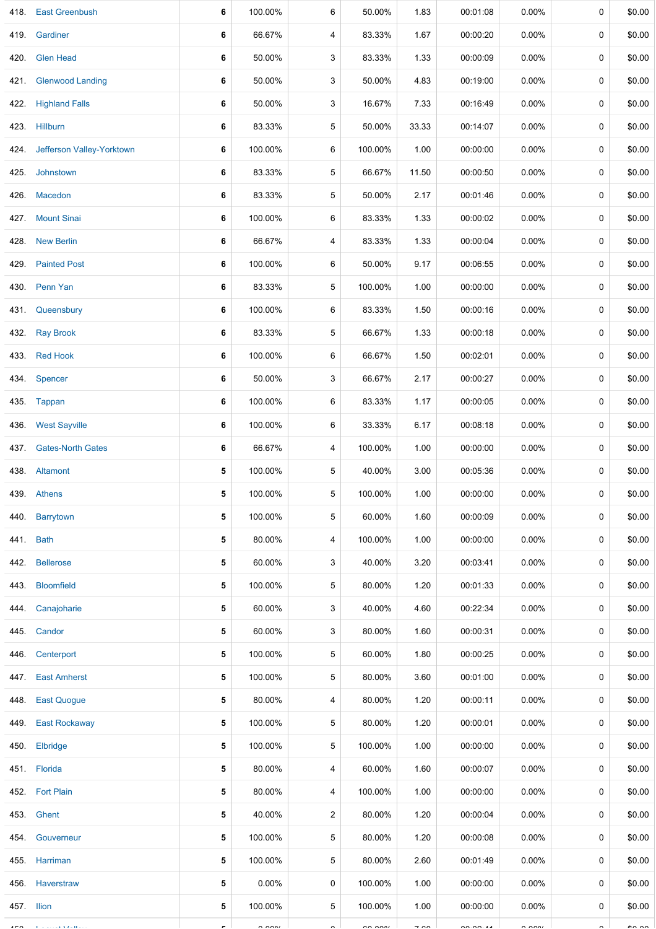| 418.       | <b>East Greenbush</b>          | 6 | 100.00%              | 6              | 50.00%  | 1.83           | 00:01:08             | $0.00\%$             | 0 | \$0.00        |
|------------|--------------------------------|---|----------------------|----------------|---------|----------------|----------------------|----------------------|---|---------------|
| 419.       | Gardiner                       | 6 | 66.67%               | 4              | 83.33%  | 1.67           | 00:00:20             | $0.00\%$             | 0 | \$0.00        |
| 420.       | <b>Glen Head</b>               | 6 | 50.00%               | 3              | 83.33%  | 1.33           | 00:00:09             | $0.00\%$             | 0 | \$0.00        |
| 421.       | <b>Glenwood Landing</b>        | 6 | 50.00%               | 3              | 50.00%  | 4.83           | 00:19:00             | $0.00\%$             | 0 | \$0.00        |
| 422.       | <b>Highland Falls</b>          | 6 | 50.00%               | 3              | 16.67%  | 7.33           | 00:16:49             | $0.00\%$             | 0 | \$0.00        |
|            | 423. Hillburn                  | 6 | 83.33%               | 5              | 50.00%  | 33.33          | 00:14:07             | $0.00\%$             | 0 | \$0.00        |
|            | 424. Jefferson Valley-Yorktown | 6 | 100.00%              | 6              | 100.00% | 1.00           | 00:00:00             | $0.00\%$             | 0 | \$0.00        |
| 425.       | Johnstown                      | 6 | 83.33%               | 5              | 66.67%  | 11.50          | 00:00:50             | $0.00\%$             | 0 | \$0.00        |
| 426.       | Macedon                        | 6 | 83.33%               | 5              | 50.00%  | 2.17           | 00:01:46             | $0.00\%$             | 0 | \$0.00        |
| 427.       | <b>Mount Sinai</b>             | 6 | 100.00%              | 6              | 83.33%  | 1.33           | 00:00:02             | $0.00\%$             | 0 | \$0.00        |
| 428.       | <b>New Berlin</b>              | 6 | 66.67%               | 4              | 83.33%  | 1.33           | 00:00:04             | 0.00%                | 0 | \$0.00        |
| 429.       | <b>Painted Post</b>            | 6 | 100.00%              | 6              | 50.00%  | 9.17           | 00:06:55             | $0.00\%$             | 0 | \$0.00        |
| 430.       | Penn Yan                       | 6 | 83.33%               | 5              | 100.00% | 1.00           | 00:00:00             | $0.00\%$             | 0 | \$0.00        |
| 431.       | Queensbury                     | 6 | 100.00%              | 6              | 83.33%  | 1.50           | 00:00:16             | $0.00\%$             | 0 | \$0.00        |
| 432.       | <b>Ray Brook</b>               | 6 | 83.33%               | 5              | 66.67%  | 1.33           | 00:00:18             | $0.00\%$             | 0 | \$0.00        |
| 433.       | <b>Red Hook</b>                | 6 | 100.00%              | 6              | 66.67%  | 1.50           | 00:02:01             | $0.00\%$             | 0 | \$0.00        |
|            | 434. Spencer                   | 6 | 50.00%               | 3              | 66.67%  | 2.17           | 00:00:27             | $0.00\%$             | 0 | \$0.00        |
|            | 435. Tappan                    | 6 | 100.00%              | 6              | 83.33%  | 1.17           | 00:00:05             | $0.00\%$             | 0 | \$0.00        |
| 436.       | <b>West Sayville</b>           | 6 | 100.00%              | 6              | 33.33%  | 6.17           | 00:08:18             | $0.00\%$             | 0 | \$0.00        |
| 437.       | <b>Gates-North Gates</b>       | 6 | 66.67%               | 4              | 100.00% | 1.00           | 00:00:00             | $0.00\%$             | 0 | \$0.00        |
|            | 438. Altamont                  | 5 | 100.00%              | 5              | 40.00%  | 3.00           | 00:05:36             | 0.00%                | 0 | \$0.00        |
|            | 439. Athens                    | 5 | 100.00%              | 5              | 100.00% | 1.00           | 00:00:00             | $0.00\%$             | 0 | \$0.00        |
|            | 440. Barrytown                 | 5 | 100.00%              | 5              | 60.00%  | 1.60           | 00:00:09             | $0.00\%$             | 0 | \$0.00        |
| 441.       | <b>Bath</b>                    | 5 | 80.00%               | 4              | 100.00% | 1.00           | 00:00:00             | $0.00\%$             | 0 | \$0.00        |
| 442.       | <b>Bellerose</b>               | 5 | 60.00%               | 3              | 40.00%  | 3.20           | 00:03:41             | $0.00\%$             | 0 | \$0.00        |
| 443.       | <b>Bloomfield</b>              | 5 | 100.00%              | 5              | 80.00%  | 1.20           | 00:01:33             | $0.00\%$             | 0 | \$0.00        |
| 444.       | Canajoharie                    | 5 | 60.00%               | 3              | 40.00%  | 4.60           | 00:22:34             | $0.00\%$             | 0 | \$0.00        |
| 445.       | Candor                         | 5 | 60.00%               | 3              | 80.00%  | 1.60           | 00:00:31             | 0.00%                | 0 | \$0.00        |
| 446.       | Centerport                     | 5 | 100.00%              | 5              | 60.00%  | 1.80           | 00:00:25             | $0.00\%$             | 0 | \$0.00        |
| 447.       | <b>East Amherst</b>            | 5 | 100.00%              | 5              | 80.00%  | 3.60           | 00:01:00             | $0.00\%$             | 0 | \$0.00        |
| 448.       | <b>East Quogue</b>             | 5 | 80.00%               | 4              | 80.00%  | 1.20           | 00:00:11             | $0.00\%$             | 0 | \$0.00        |
| 449.       | <b>East Rockaway</b>           | 5 | 100.00%              | 5              | 80.00%  | 1.20           | 00:00:01             | $0.00\%$             | 0 | \$0.00        |
| 450.       | Elbridge                       | 5 | 100.00%              | 5              | 100.00% | 1.00           | 00:00:00             | $0.00\%$             | 0 | \$0.00        |
|            | 451. Florida                   | 5 | 80.00%               | 4              | 60.00%  | 1.60           | 00:00:07             | $0.00\%$             | 0 | \$0.00        |
|            | 452. Fort Plain                | 5 | 80.00%               | 4              | 100.00% | 1.00           | 00:00:00             | $0.00\%$             | 0 | \$0.00        |
|            | 453. Ghent                     | 5 | 40.00%               | $\overline{2}$ | 80.00%  | 1.20           | 00:00:04             | $0.00\%$             | 0 | \$0.00        |
| 454.       | Gouverneur                     | 5 | 100.00%              | 5              | 80.00%  | 1.20           | 00:00:08             | $0.00\%$             | 0 | \$0.00        |
|            | 455. Harriman                  | 5 | 100.00%              | 5              | 80.00%  | 2.60           | 00:01:49             | $0.00\%$             | 0 | \$0.00        |
|            | 456. Haverstraw                | 5 | $0.00\%$             | 0              | 100.00% | 1.00           | 00:00:00             | $0.00\%$             | 0 | \$0.00        |
| 457. Ilion |                                | 5 | 100.00%              | 5              | 100.00% | 1.00           | 00:00:00             | $0.00\%$             | 0 | \$0.00        |
|            | $\alpha$ - $\alpha$ - $\alpha$ |   | $\sim$ $\sim$ $\sim$ |                | 2222    | $\overline{a}$ | $\sim$ $\sim$ $\sim$ | $\sim$ $\sim$ $\sim$ |   | $\sim$ $\sim$ |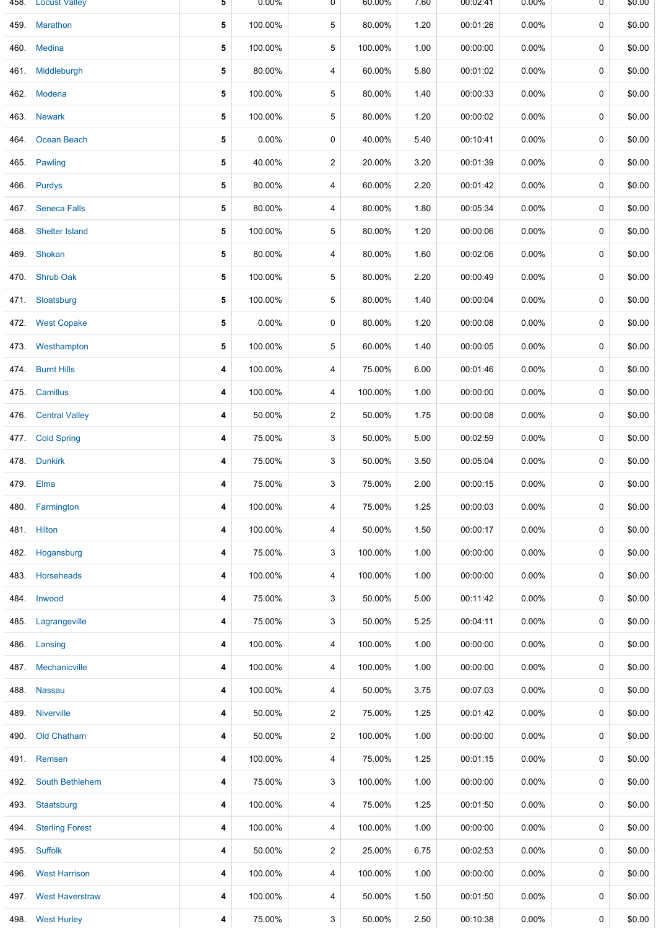|      | 458. Locust Valley     | 5 | $0.00\%$ | ᠐              | 60.00%  | 7.60 | 00:02:41 | $0.00\%$ | U | \$0.00 |
|------|------------------------|---|----------|----------------|---------|------|----------|----------|---|--------|
|      | 459. Marathon          | 5 | 100.00%  | 5              | 80.00%  | 1.20 | 00:01:26 | 0.00%    | 0 | \$0.00 |
|      | 460. Medina            | 5 | 100.00%  | 5              | 100.00% | 1.00 | 00:00:00 | $0.00\%$ | 0 | \$0.00 |
|      | 461. Middleburgh       | 5 | 80.00%   | 4              | 60.00%  | 5.80 | 00:01:02 | $0.00\%$ | 0 | \$0.00 |
|      | 462. Modena            | 5 | 100.00%  | 5              | 80.00%  | 1.40 | 00:00:33 | $0.00\%$ | 0 | \$0.00 |
|      | 463. Newark            | 5 | 100.00%  | 5              | 80.00%  | 1.20 | 00:00:02 | $0.00\%$ | 0 | \$0.00 |
| 464. | Ocean Beach            | 5 | $0.00\%$ | 0              | 40.00%  | 5.40 | 00:10:41 | 0.00%    | 0 | \$0.00 |
| 465. | Pawling                | 5 | 40.00%   | $\overline{a}$ | 20.00%  | 3.20 | 00:01:39 | $0.00\%$ | 0 | \$0.00 |
|      | 466. Purdys            | 5 | 80.00%   | 4              | 60.00%  | 2.20 | 00:01:42 | $0.00\%$ | 0 | \$0.00 |
|      | 467. Seneca Falls      | 5 | 80.00%   | 4              | 80.00%  | 1.80 | 00:05:34 | 0.00%    | 0 | \$0.00 |
| 468. | <b>Shelter Island</b>  | 5 | 100.00%  | 5              | 80.00%  | 1.20 | 00:00:06 | $0.00\%$ | 0 | \$0.00 |
| 469. | Shokan                 | 5 | 80.00%   | 4              | 80.00%  | 1.60 | 00:02:06 | $0.00\%$ | 0 | \$0.00 |
|      | 470. Shrub Oak         | 5 | 100.00%  | 5              | 80.00%  | 2.20 | 00:00:49 | $0.00\%$ | 0 | \$0.00 |
|      | 471. Sloatsburg        | 5 | 100.00%  | 5              | 80.00%  | 1.40 | 00:00:04 | $0.00\%$ | 0 | \$0.00 |
|      | 472. West Copake       | 5 | 0.00%    | 0              | 80.00%  | 1.20 | 00:00:08 | $0.00\%$ | 0 | \$0.00 |
|      | 473. Westhampton       | 5 | 100.00%  | 5              | 60.00%  | 1.40 | 00:00:05 | $0.00\%$ | 0 | \$0.00 |
|      | 474. Burnt Hills       | 4 | 100.00%  | 4              | 75.00%  | 6.00 | 00:01:46 | 0.00%    | 0 | \$0.00 |
|      | 475. Camillus          | 4 | 100.00%  | 4              | 100.00% | 1.00 | 00:00:00 | $0.00\%$ | 0 | \$0.00 |
|      | 476. Central Valley    | 4 | 50.00%   | $\overline{2}$ | 50.00%  | 1.75 | 00:00:08 | $0.00\%$ | 0 | \$0.00 |
|      | 477. Cold Spring       | 4 | 75.00%   | 3              | 50.00%  | 5.00 | 00:02:59 | $0.00\%$ | 0 | \$0.00 |
|      | 478. Dunkirk           | 4 | 75.00%   | 3              | 50.00%  | 3.50 | 00:05:04 | $0.00\%$ | 0 | \$0.00 |
|      | 479. Elma              | 4 | 75.00%   | 3              | 75.00%  | 2.00 | 00:00:15 | 0.00%    | 0 | \$0.00 |
|      | 480. Farmington        | 4 | 100.00%  | 4              | 75.00%  | 1.25 | 00:00:03 | 0.00%    | 0 | \$0.00 |
|      | 481. Hilton            | 4 | 100.00%  | 4              | 50.00%  | 1.50 | 00:00:17 | 0.00%    | 0 | \$0.00 |
| 482. | Hogansburg             | 4 | 75.00%   | 3              | 100.00% | 1.00 | 00:00:00 | $0.00\%$ | 0 | \$0.00 |
| 483. | Horseheads             | 4 | 100.00%  | 4              | 100.00% | 1.00 | 00:00:00 | $0.00\%$ | 0 | \$0.00 |
| 484. | Inwood                 | 4 | 75.00%   | 3              | 50.00%  | 5.00 | 00:11:42 | $0.00\%$ | 0 | \$0.00 |
| 485. | Lagrangeville          | 4 | 75.00%   | 3              | 50.00%  | 5.25 | 00:04:11 | $0.00\%$ | 0 | \$0.00 |
| 486. | Lansing                | 4 | 100.00%  | 4              | 100.00% | 1.00 | 00:00:00 | $0.00\%$ | 0 | \$0.00 |
| 487. | Mechanicville          | 4 | 100.00%  | 4              | 100.00% | 1.00 | 00:00:00 | $0.00\%$ | 0 | \$0.00 |
| 488. | <b>Nassau</b>          | 4 | 100.00%  | 4              | 50.00%  | 3.75 | 00:07:03 | $0.00\%$ | 0 | \$0.00 |
| 489. | <b>Niverville</b>      | 4 | 50.00%   | $\overline{2}$ | 75.00%  | 1.25 | 00:01:42 | $0.00\%$ | 0 | \$0.00 |
| 490. | Old Chatham            | 4 | 50.00%   | $\overline{c}$ | 100.00% | 1.00 | 00:00:00 | $0.00\%$ | 0 | \$0.00 |
|      | 491. Remsen            | 4 | 100.00%  | 4              | 75.00%  | 1.25 | 00:01:15 | $0.00\%$ | 0 | \$0.00 |
| 492. | <b>South Bethlehem</b> | 4 | 75.00%   | 3              | 100.00% | 1.00 | 00:00:00 | $0.00\%$ | 0 | \$0.00 |
| 493. | Staatsburg             | 4 | 100.00%  | 4              | 75.00%  | 1.25 | 00:01:50 | $0.00\%$ | 0 | \$0.00 |
| 494. | <b>Sterling Forest</b> | 4 | 100.00%  | 4              | 100.00% | 1.00 | 00:00:00 | $0.00\%$ | 0 | \$0.00 |
|      | 495. Suffolk           | 4 | 50.00%   | $\overline{2}$ | 25.00%  | 6.75 | 00:02:53 | $0.00\%$ | 0 | \$0.00 |
|      | 496. West Harrison     | 4 | 100.00%  | 4              | 100.00% | 1.00 | 00:00:00 | 0.00%    | 0 | \$0.00 |
| 497. | <b>West Haverstraw</b> | 4 | 100.00%  | 4              | 50.00%  | 1.50 | 00:01:50 | $0.00\%$ | 0 | \$0.00 |
|      | 498. West Hurley       | 4 | 75.00%   | 3              | 50.00%  | 2.50 | 00:10:38 | 0.00%    | 0 | \$0.00 |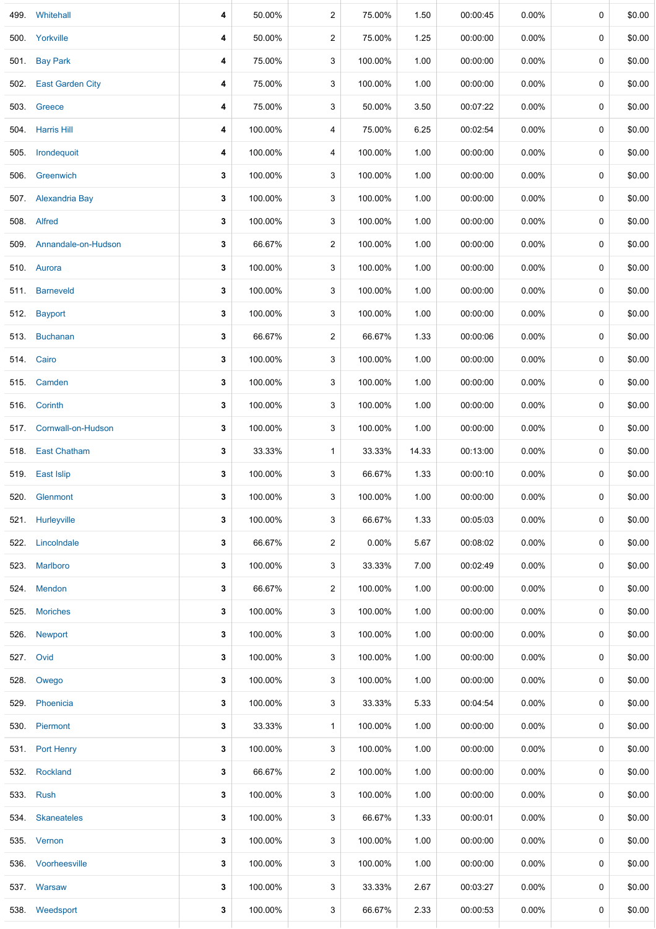| 499. | Whitehall                | 4 | 50.00%  | $\overline{2}$ | 75.00%   | 1.50  | 00:00:45 | 0.00%    | 0           | \$0.00 |
|------|--------------------------|---|---------|----------------|----------|-------|----------|----------|-------------|--------|
| 500. | Yorkville                | 4 | 50.00%  | $\overline{2}$ | 75.00%   | 1.25  | 00:00:00 | $0.00\%$ | 0           | \$0.00 |
| 501. | <b>Bay Park</b>          | 4 | 75.00%  | 3              | 100.00%  | 1.00  | 00:00:00 | $0.00\%$ | 0           | \$0.00 |
|      | 502. East Garden City    | 4 | 75.00%  | 3              | 100.00%  | 1.00  | 00:00:00 | $0.00\%$ | 0           | \$0.00 |
| 503. | Greece                   | 4 | 75.00%  | 3              | 50.00%   | 3.50  | 00:07:22 | 0.00%    | 0           | \$0.00 |
| 504. | <b>Harris Hill</b>       | 4 | 100.00% | 4              | 75.00%   | 6.25  | 00:02:54 | $0.00\%$ | 0           | \$0.00 |
|      | 505. Irondequoit         | 4 | 100.00% | 4              | 100.00%  | 1.00  | 00:00:00 | $0.00\%$ | 0           | \$0.00 |
| 506. | Greenwich                | 3 | 100.00% | 3              | 100.00%  | 1.00  | 00:00:00 | 0.00%    | 0           | \$0.00 |
|      | 507. Alexandria Bay      | 3 | 100.00% | 3              | 100.00%  | 1.00  | 00:00:00 | 0.00%    | 0           | \$0.00 |
|      | 508. Alfred              | 3 | 100.00% | 3              | 100.00%  | 1.00  | 00:00:00 | 0.00%    | 0           | \$0.00 |
|      | 509. Annandale-on-Hudson | 3 | 66.67%  | $\overline{c}$ | 100.00%  | 1.00  | 00:00:00 | $0.00\%$ | 0           | \$0.00 |
|      | 510. Aurora              | 3 | 100.00% | 3              | 100.00%  | 1.00  | 00:00:00 | 0.00%    | $\mathbf 0$ | \$0.00 |
|      | 511. Barneveld           | 3 | 100.00% | 3              | 100.00%  | 1.00  | 00:00:00 | $0.00\%$ | 0           | \$0.00 |
|      | 512. Bayport             | 3 | 100.00% | 3              | 100.00%  | 1.00  | 00:00:00 | $0.00\%$ | 0           | \$0.00 |
|      | 513. Buchanan            | 3 | 66.67%  | $\overline{a}$ | 66.67%   | 1.33  | 00:00:06 | $0.00\%$ | 0           | \$0.00 |
|      | 514. Cairo               | 3 | 100.00% | 3              | 100.00%  | 1.00  | 00:00:00 | $0.00\%$ | $\mathbf 0$ | \$0.00 |
|      | 515. Camden              | 3 | 100.00% | 3              | 100.00%  | 1.00  | 00:00:00 | $0.00\%$ | 0           | \$0.00 |
|      | 516. Corinth             | 3 | 100.00% | 3              | 100.00%  | 1.00  | 00:00:00 | $0.00\%$ | 0           | \$0.00 |
| 517. | Cornwall-on-Hudson       | 3 | 100.00% | 3              | 100.00%  | 1.00  | 00:00:00 | $0.00\%$ | 0           | \$0.00 |
|      | 518. East Chatham        | 3 | 33.33%  | 1              | 33.33%   | 14.33 | 00:13:00 | 0.00%    | 0           | \$0.00 |
|      | 519. East Islip          | 3 | 100.00% | 3              | 66.67%   | 1.33  | 00:00:10 | $0.00\%$ | 0           | \$0.00 |
| 520. | Glenmont                 | 3 | 100.00% | 3              | 100.00%  | 1.00  | 00:00:00 | 0.00%    | 0           | \$0.00 |
|      | 521. Hurleyville         | 3 | 100.00% | 3              | 66.67%   | 1.33  | 00:05:03 | $0.00\%$ | 0           | \$0.00 |
|      | 522. Lincolndale         | 3 | 66.67%  | 2              | $0.00\%$ | 5.67  | 00:08:02 | $0.00\%$ | 0           | \$0.00 |
|      | 523. Marlboro            | 3 | 100.00% | 3              | 33.33%   | 7.00  | 00:02:49 | 0.00%    | 0           | \$0.00 |
|      | 524. Mendon              | 3 | 66.67%  | $\overline{2}$ | 100.00%  | 1.00  | 00:00:00 | $0.00\%$ | 0           | \$0.00 |
|      | 525. Moriches            | 3 | 100.00% | 3              | 100.00%  | 1.00  | 00:00:00 | $0.00\%$ | 0           | \$0.00 |
|      | 526. Newport             | 3 | 100.00% | 3              | 100.00%  | 1.00  | 00:00:00 | $0.00\%$ | 0           | \$0.00 |
|      | 527. Ovid                | 3 | 100.00% | 3              | 100.00%  | 1.00  | 00:00:00 | $0.00\%$ | $\mathbf 0$ | \$0.00 |
| 528. | Owego                    | 3 | 100.00% | 3              | 100.00%  | 1.00  | 00:00:00 | $0.00\%$ | 0           | \$0.00 |
|      | 529. Phoenicia           | 3 | 100.00% | 3              | 33.33%   | 5.33  | 00:04:54 | $0.00\%$ | 0           | \$0.00 |
|      | 530. Piermont            | 3 | 33.33%  | $\mathbf{1}$   | 100.00%  | 1.00  | 00:00:00 | $0.00\%$ | 0           | \$0.00 |
|      | 531. Port Henry          | 3 | 100.00% | 3              | 100.00%  | 1.00  | 00:00:00 | $0.00\%$ | 0           | \$0.00 |
| 532. | Rockland                 | 3 | 66.67%  | $\overline{2}$ | 100.00%  | 1.00  | 00:00:00 | $0.00\%$ | 0           | \$0.00 |
|      | 533. Rush                | 3 | 100.00% | 3              | 100.00%  | 1.00  | 00:00:00 | $0.00\%$ | 0           | \$0.00 |
|      | 534. Skaneateles         | 3 | 100.00% | 3              | 66.67%   | 1.33  | 00:00:01 | 0.00%    | 0           | \$0.00 |
|      | 535. Vernon              | 3 | 100.00% | 3              | 100.00%  | 1.00  | 00:00:00 | $0.00\%$ | 0           | \$0.00 |
|      | 536. Voorheesville       | 3 | 100.00% | 3              | 100.00%  | 1.00  | 00:00:00 | $0.00\%$ | 0           | \$0.00 |
|      | 537 Warsaw               | 3 | 100.00% | 3              | 33.33%   | 2.67  | 00:03:27 | $0.00\%$ | 0           | \$0.00 |
|      | 538. Weedsport           | 3 | 100.00% | 3              | 66.67%   | 2.33  | 00:00:53 | $0.00\%$ | 0           | \$0.00 |
|      |                          |   |         |                |          |       |          |          |             |        |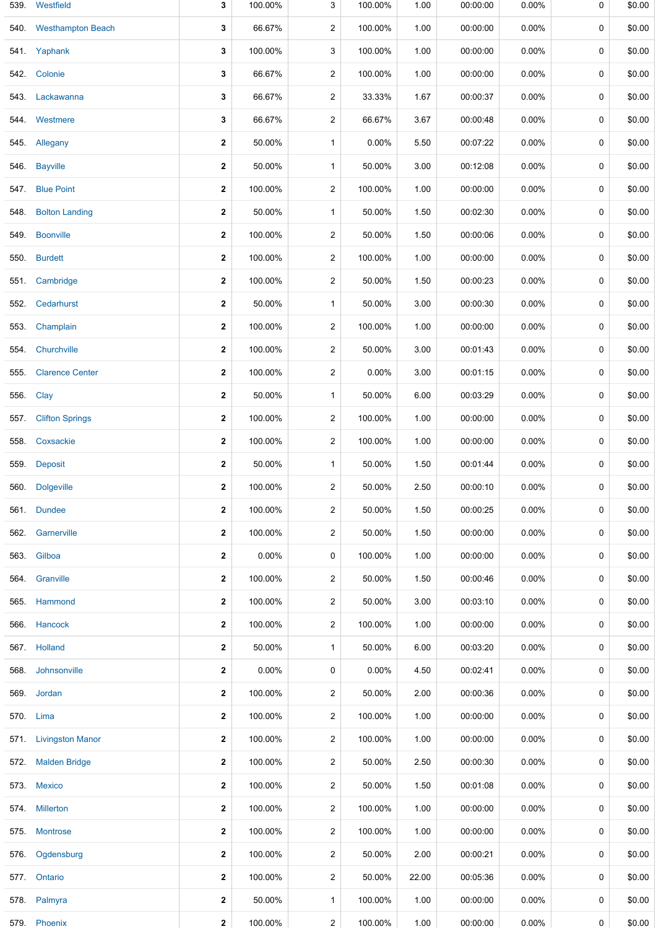| 539. | Westfield               | 3            | 100.00% | 3                       | 100.00%  | 1.00  | 00:00:00 | 0.00%    | 0 | \$0.00 |
|------|-------------------------|--------------|---------|-------------------------|----------|-------|----------|----------|---|--------|
|      | 540. Westhampton Beach  | 3            | 66.67%  | 2                       | 100.00%  | 1.00  | 00:00:00 | $0.00\%$ | 0 | \$0.00 |
|      | 541 Yaphank             | 3            | 100.00% | 3                       | 100.00%  | 1.00  | 00:00:00 | $0.00\%$ | 0 | \$0.00 |
|      | 542. Colonie            | 3            | 66.67%  | 2                       | 100.00%  | 1.00  | 00:00:00 | $0.00\%$ | 0 | \$0.00 |
| 543. | Lackawanna              | 3            | 66.67%  | 2                       | 33.33%   | 1.67  | 00:00:37 | 0.00%    | 0 | \$0.00 |
|      | 544. Westmere           | 3            | 66.67%  | 2                       | 66.67%   | 3.67  | 00:00:48 | $0.00\%$ | 0 | \$0.00 |
|      | 545. Allegany           | $\mathbf{2}$ | 50.00%  | 1                       | 0.00%    | 5.50  | 00:07:22 | 0.00%    | 0 | \$0.00 |
|      | 546. Bayville           | $\mathbf{2}$ | 50.00%  | 1                       | 50.00%   | 3.00  | 00:12:08 | $0.00\%$ | 0 | \$0.00 |
| 547. | <b>Blue Point</b>       | $\mathbf{2}$ | 100.00% | $\overline{\mathbf{c}}$ | 100.00%  | 1.00  | 00:00:00 | 0.00%    | 0 | \$0.00 |
| 548. | <b>Bolton Landing</b>   | $\mathbf{2}$ | 50.00%  | 1                       | 50.00%   | 1.50  | 00:02:30 | 0.00%    | 0 | \$0.00 |
|      | 549. Boonville          | $\mathbf{2}$ | 100.00% | 2                       | 50.00%   | 1.50  | 00:00:06 | 0.00%    | 0 | \$0.00 |
| 550. | <b>Burdett</b>          | $\mathbf{2}$ | 100.00% | 2                       | 100.00%  | 1.00  | 00:00:00 | $0.00\%$ | 0 | \$0.00 |
|      | 551. Cambridge          | 2            | 100.00% | 2                       | 50.00%   | 1.50  | 00:00:23 | 0.00%    | 0 | \$0.00 |
| 552. | Cedarhurst              | $\mathbf{2}$ | 50.00%  | 1                       | 50.00%   | 3.00  | 00:00:30 | 0.00%    | 0 | \$0.00 |
|      | 553. Champlain          | 2            | 100.00% | 2                       | 100.00%  | 1.00  | 00:00:00 | $0.00\%$ | 0 | \$0.00 |
| 554. | Churchville             | $\mathbf{2}$ | 100.00% | 2                       | 50.00%   | 3.00  | 00:01:43 | $0.00\%$ | 0 | \$0.00 |
| 555. | <b>Clarence Center</b>  | 2            | 100.00% | 2                       | 0.00%    | 3.00  | 00:01:15 | $0.00\%$ | 0 | \$0.00 |
| 556. | Clay                    | $\mathbf{2}$ | 50.00%  | 1                       | 50.00%   | 6.00  | 00:03:29 | $0.00\%$ | 0 | \$0.00 |
| 557. | <b>Clifton Springs</b>  | 2            | 100.00% | 2                       | 100.00%  | 1.00  | 00:00:00 | $0.00\%$ | 0 | \$0.00 |
| 558. | Coxsackie               | $\mathbf{2}$ | 100.00% | 2                       | 100.00%  | 1.00  | 00:00:00 | 0.00%    | 0 | \$0.00 |
| 559. | <b>Deposit</b>          | 2            | 50.00%  | 1                       | 50.00%   | 1.50  | 00:01:44 | $0.00\%$ | 0 | \$0.00 |
|      | 560. Dolgeville         | $\mathbf 2$  | 100.00% | 2                       | 50.00%   | 2.50  | 00:00:10 | 0.00%    | 0 | \$0.00 |
|      | 561. Dundee             | $\mathbf{2}$ | 100.00% | 2                       | 50.00%   | 1.50  | 00:00:25 | 0.00%    | 0 | \$0.00 |
|      | 562. Garnerville        | 2            | 100.00% | 2                       | 50.00%   | 1.50  | 00:00:00 | 0.00%    | 0 | \$0.00 |
| 563. | Gilboa                  | $\mathbf{2}$ | 0.00%   | 0                       | 100.00%  | 1.00  | 00:00:00 | 0.00%    | 0 | \$0.00 |
|      | 564. Granville          | $\mathbf{2}$ | 100.00% | 2                       | 50.00%   | 1.50  | 00:00:46 | $0.00\%$ | 0 | \$0.00 |
|      | 565. Hammond            | $\mathbf{2}$ | 100.00% | 2                       | 50.00%   | 3.00  | 00:03:10 | 0.00%    | 0 | \$0.00 |
|      | 566. Hancock            | 2            | 100.00% | 2                       | 100.00%  | 1.00  | 00:00:00 | 0.00%    | 0 | \$0.00 |
|      | 567. Holland            | $\mathbf{2}$ | 50.00%  | $\mathbf{1}$            | 50.00%   | 6.00  | 00:03:20 | 0.00%    | 0 | \$0.00 |
|      | 568. Johnsonville       | $\mathbf{2}$ | 0.00%   | 0                       | $0.00\%$ | 4.50  | 00:02:41 | $0.00\%$ | 0 | \$0.00 |
| 569. | Jordan                  | $\mathbf{2}$ | 100.00% | 2                       | 50.00%   | 2.00  | 00:00:36 | $0.00\%$ | 0 | \$0.00 |
|      | 570. Lima               | 2            | 100.00% | 2                       | 100.00%  | 1.00  | 00:00:00 | $0.00\%$ | 0 | \$0.00 |
| 571. | <b>Livingston Manor</b> | $\mathbf{2}$ | 100.00% | 2                       | 100.00%  | 1.00  | 00:00:00 | $0.00\%$ | 0 | \$0.00 |
|      | 572. Malden Bridge      | $\mathbf{2}$ | 100.00% | 2                       | 50.00%   | 2.50  | 00:00:30 | $0.00\%$ | 0 | \$0.00 |
|      | 573. Mexico             | $\mathbf{2}$ | 100.00% | 2                       | 50.00%   | 1.50  | 00:01:08 | 0.00%    | 0 | \$0.00 |
|      | 574. Millerton          | $\mathbf 2$  | 100.00% | 2                       | 100.00%  | 1.00  | 00:00:00 | $0.00\%$ | 0 | \$0.00 |
| 575. | <b>Montrose</b>         | $\mathbf{2}$ | 100.00% | 2                       | 100.00%  | 1.00  | 00:00:00 | 0.00%    | 0 | \$0.00 |
| 576. | Ogdensburg              | $\mathbf{2}$ | 100.00% | 2                       | 50.00%   | 2.00  | 00:00:21 | 0.00%    | 0 | \$0.00 |
|      | 577. Ontario            | 2            | 100.00% | 2                       | 50.00%   | 22.00 | 00:05:36 | 0.00%    | 0 | \$0.00 |
|      | 578. Palmyra            | $\mathbf{2}$ | 50.00%  | $\mathbf{1}$            | 100.00%  | 1.00  | 00:00:00 | $0.00\%$ | 0 | \$0.00 |
|      | 579. Phoenix            | $\mathbf{2}$ | 100.00% | $\overline{a}$          | 100.00%  | 1.00  | 00:00:00 | $0.00\%$ | 0 | \$0.00 |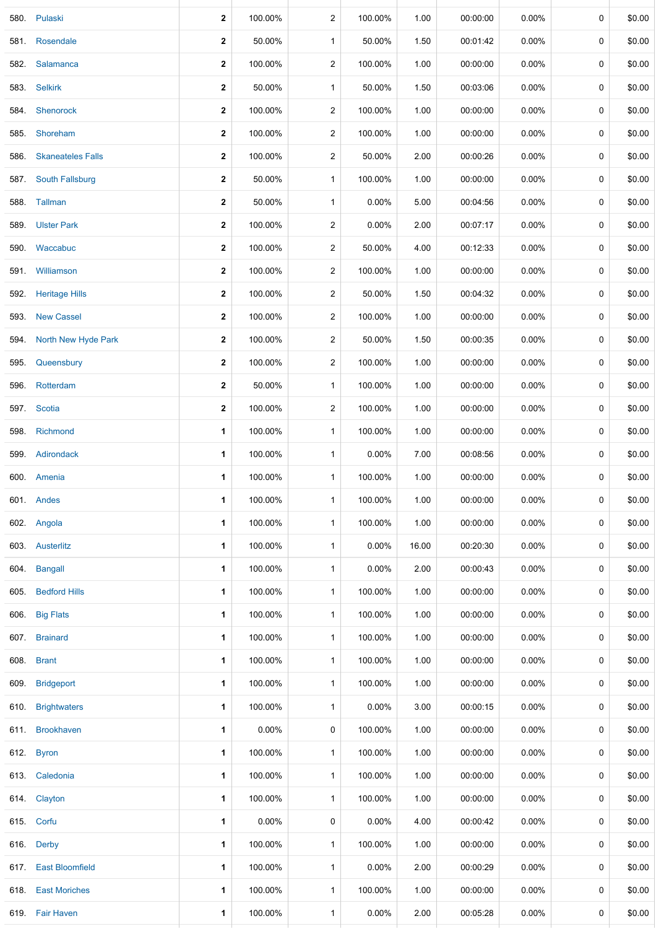|      | 580. Pulaski             | 2            | 100.00% | $\overline{\mathbf{c}}$ | 100.00%  | 1.00  | 00:00:00 | 0.00%    | 0           | \$0.00 |
|------|--------------------------|--------------|---------|-------------------------|----------|-------|----------|----------|-------------|--------|
| 581. | Rosendale                | $\mathbf{2}$ | 50.00%  | $\mathbf{1}$            | 50.00%   | 1.50  | 00:01:42 | 0.00%    | 0           | \$0.00 |
| 582. | Salamanca                | $\mathbf{2}$ | 100.00% | $\overline{c}$          | 100.00%  | 1.00  | 00:00:00 | 0.00%    | 0           | \$0.00 |
| 583. | <b>Selkirk</b>           | $\mathbf{2}$ | 50.00%  | $\mathbf{1}$            | 50.00%   | 1.50  | 00:03:06 | 0.00%    | 0           | \$0.00 |
| 584. | Shenorock                | $\mathbf{2}$ | 100.00% | 2                       | 100.00%  | 1.00  | 00:00:00 | 0.00%    | 0           | \$0.00 |
| 585. | Shoreham                 | $\mathbf{2}$ | 100.00% | $\overline{2}$          | 100.00%  | 1.00  | 00:00:00 | 0.00%    | 0           | \$0.00 |
| 586. | <b>Skaneateles Falls</b> | 2            | 100.00% | $\overline{2}$          | 50.00%   | 2.00  | 00:00:26 | $0.00\%$ | 0           | \$0.00 |
| 587. | <b>South Fallsburg</b>   | $\mathbf{2}$ | 50.00%  | $\mathbf{1}$            | 100.00%  | 1.00  | 00:00:00 | $0.00\%$ | 0           | \$0.00 |
|      | 588. Tallman             | 2            | 50.00%  | $\mathbf{1}$            | $0.00\%$ | 5.00  | 00:04:56 | 0.00%    | 0           | \$0.00 |
| 589. | <b>Ulster Park</b>       | $\mathbf{2}$ | 100.00% | $\overline{c}$          | 0.00%    | 2.00  | 00:07:17 | 0.00%    | 0           | \$0.00 |
| 590. | Waccabuc                 | 2            | 100.00% | $\overline{\mathbf{c}}$ | 50.00%   | 4.00  | 00:12:33 | $0.00\%$ | 0           | \$0.00 |
| 591. | Williamson               | $\mathbf{2}$ | 100.00% | $\overline{2}$          | 100.00%  | 1.00  | 00:00:00 | 0.00%    | 0           | \$0.00 |
| 592. | <b>Heritage Hills</b>    | 2            | 100.00% | 2                       | 50.00%   | 1.50  | 00:04:32 | 0.00%    | 0           | \$0.00 |
| 593. | <b>New Cassel</b>        | 2            | 100.00% | $\overline{2}$          | 100.00%  | 1.00  | 00:00:00 | 0.00%    | 0           | \$0.00 |
| 594. | North New Hyde Park      | 2            | 100.00% | $\overline{2}$          | 50.00%   | 1.50  | 00:00:35 | 0.00%    | 0           | \$0.00 |
| 595. | Queensbury               | $\mathbf{2}$ | 100.00% | $\overline{\mathbf{c}}$ | 100.00%  | 1.00  | 00:00:00 | 0.00%    | 0           | \$0.00 |
| 596. | Rotterdam                | $\mathbf{2}$ | 50.00%  | $\mathbf{1}$            | 100.00%  | 1.00  | 00:00:00 | 0.00%    | 0           | \$0.00 |
|      | 597. Scotia              | $\mathbf{2}$ | 100.00% | $\overline{c}$          | 100.00%  | 1.00  | 00:00:00 | 0.00%    | $\mathbf 0$ | \$0.00 |
| 598. | Richmond                 | 1            | 100.00% | $\mathbf{1}$            | 100.00%  | 1.00  | 00:00:00 | 0.00%    | 0           | \$0.00 |
| 599. | Adirondack               | 1            | 100.00% | 1                       | 0.00%    | 7.00  | 00:08:56 | 0.00%    | 0           | \$0.00 |
|      | 600. Amenia              | 1            | 100.00% | $\mathbf{1}$            | 100.00%  | 1.00  | 00:00:00 | 0.00%    | 0           | \$0.00 |
|      | 601. Andes               | 1            | 100.00% | 1                       | 100.00%  | 1.00  | 00:00:00 | 0.00%    | 0           | \$0.00 |
|      | 602. Angola              | 1            | 100.00% | $\mathbf{1}$            | 100.00%  | 1.00  | 00:00:00 | $0.00\%$ | 0           | \$0.00 |
|      | 603. Austerlitz          | 1            | 100.00% | $\mathbf{1}$            | $0.00\%$ | 16.00 | 00:20:30 | $0.00\%$ | 0           | \$0.00 |
| 604. | <b>Bangall</b>           | 1            | 100.00% | $\mathbf{1}$            | $0.00\%$ | 2.00  | 00:00:43 | $0.00\%$ | 0           | \$0.00 |
| 605. | <b>Bedford Hills</b>     | 1            | 100.00% | $\mathbf{1}$            | 100.00%  | 1.00  | 00:00:00 | $0.00\%$ | 0           | \$0.00 |
| 606. | <b>Big Flats</b>         | 1            | 100.00% | $\mathbf{1}$            | 100.00%  | 1.00  | 00:00:00 | $0.00\%$ | 0           | \$0.00 |
|      | 607. Brainard            | 1            | 100.00% | $\mathbf{1}$            | 100.00%  | 1.00  | 00:00:00 | $0.00\%$ | 0           | \$0.00 |
|      | 608. Brant               | 1            | 100.00% | $\mathbf{1}$            | 100.00%  | 1.00  | 00:00:00 | 0.00%    | 0           | \$0.00 |
|      | 609. Bridgeport          | 1            | 100.00% | $\mathbf{1}$            | 100.00%  | 1.00  | 00:00:00 | $0.00\%$ | 0           | \$0.00 |
| 610. | <b>Brightwaters</b>      | 1            | 100.00% | $\mathbf{1}$            | $0.00\%$ | 3.00  | 00:00:15 | $0.00\%$ | 0           | \$0.00 |
|      | 611 Brookhaven           | $\mathbf 1$  | 0.00%   | 0                       | 100.00%  | 1.00  | 00:00:00 | $0.00\%$ | 0           | \$0.00 |
|      | 612. Byron               | 1            | 100.00% | $\mathbf{1}$            | 100.00%  | 1.00  | 00:00:00 | 0.00%    | 0           | \$0.00 |
|      | 613. Caledonia           | 1            | 100.00% | $\mathbf{1}$            | 100.00%  | 1.00  | 00:00:00 | $0.00\%$ | 0           | \$0.00 |
|      | 614. Clayton             | 1            | 100.00% | $\mathbf{1}$            | 100.00%  | 1.00  | 00:00:00 | $0.00\%$ | 0           | \$0.00 |
|      | 615. Corfu               | 1            | 0.00%   | 0                       | $0.00\%$ | 4.00  | 00:00:42 | $0.00\%$ | 0           | \$0.00 |
|      | 616. Derby               | 1            | 100.00% | $\mathbf{1}$            | 100.00%  | 1.00  | 00:00:00 | $0.00\%$ | $\mathbf 0$ | \$0.00 |
|      | 617. East Bloomfield     | 1            | 100.00% | $\mathbf{1}$            | $0.00\%$ | 2.00  | 00:00:29 | $0.00\%$ | 0           | \$0.00 |
|      | 618. East Moriches       | 1            | 100.00% | $\mathbf{1}$            | 100.00%  | 1.00  | 00:00:00 | $0.00\%$ | 0           | \$0.00 |
|      | 619. Fair Haven          | 1            | 100.00% | $\mathbf{1}$            | 0.00%    | 2.00  | 00:05:28 | $0.00\%$ | 0           | \$0.00 |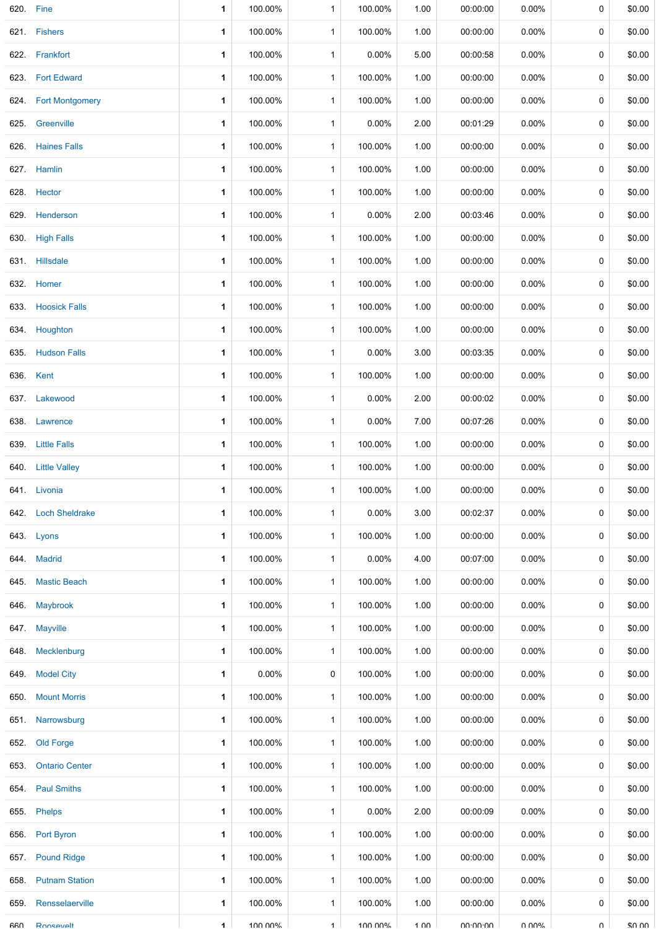| 620. Fine  |                       | 1 | 100.00%  | 1            | 100.00%  | 1.00 | 00:00:00 | 0.00%    | 0           | \$0.00 |
|------------|-----------------------|---|----------|--------------|----------|------|----------|----------|-------------|--------|
|            | 621. Fishers          | 1 | 100.00%  | $\mathbf{1}$ | 100.00%  | 1.00 | 00:00:00 | $0.00\%$ | 0           | \$0.00 |
|            | 622. Frankfort        | 1 | 100.00%  | 1            | $0.00\%$ | 5.00 | 00:00:58 | $0.00\%$ | 0           | \$0.00 |
|            | 623. Fort Edward      | 1 | 100.00%  | $\mathbf{1}$ | 100.00%  | 1.00 | 00:00:00 | 0.00%    | 0           | \$0.00 |
|            | 624. Fort Montgomery  | 1 | 100.00%  | $\mathbf{1}$ | 100.00%  | 1.00 | 00:00:00 | $0.00\%$ | 0           | \$0.00 |
| 625.       | Greenville            | 1 | 100.00%  | $\mathbf{1}$ | $0.00\%$ | 2.00 | 00:01:29 | 0.00%    | 0           | \$0.00 |
|            | 626. Haines Falls     | 1 | 100.00%  | $\mathbf{1}$ | 100.00%  | 1.00 | 00:00:00 | 0.00%    | 0           | \$0.00 |
|            | 627. Hamlin           | 1 | 100.00%  | $\mathbf{1}$ | 100.00%  | 1.00 | 00:00:00 | 0.00%    | 0           | \$0.00 |
|            | 628. Hector           | 1 | 100.00%  | $\mathbf{1}$ | 100.00%  | 1.00 | 00:00:00 | 0.00%    | 0           | \$0.00 |
|            | 629. Henderson        | 1 | 100.00%  | $\mathbf{1}$ | $0.00\%$ | 2.00 | 00:03:46 | 0.00%    | 0           | \$0.00 |
|            | 630. High Falls       | 1 | 100.00%  | $\mathbf{1}$ | 100.00%  | 1.00 | 00:00:00 | $0.00\%$ | 0           | \$0.00 |
|            | 631. Hillsdale        | 1 | 100.00%  | 1            | 100.00%  | 1.00 | 00:00:00 | $0.00\%$ | 0           | \$0.00 |
|            | 632. Homer            | 1 | 100.00%  | $\mathbf{1}$ | 100.00%  | 1.00 | 00:00:00 | $0.00\%$ | 0           | \$0.00 |
|            | 633. Hoosick Falls    | 1 | 100.00%  | $\mathbf{1}$ | 100.00%  | 1.00 | 00:00:00 | 0.00%    | 0           | \$0.00 |
|            | 634. Houghton         | 1 | 100.00%  | $\mathbf{1}$ | 100.00%  | 1.00 | 00:00:00 | $0.00\%$ | 0           | \$0.00 |
|            | 635. Hudson Falls     | 1 | 100.00%  | 1            | $0.00\%$ | 3.00 | 00:03:35 | $0.00\%$ | 0           | \$0.00 |
|            | 636. Kent             | 1 | 100.00%  | $\mathbf{1}$ | 100.00%  | 1.00 | 00:00:00 | $0.00\%$ | 0           | \$0.00 |
|            | 637. Lakewood         | 1 | 100.00%  | $\mathbf{1}$ | $0.00\%$ | 2.00 | 00:00:02 | 0.00%    | 0           | \$0.00 |
| 638.       | Lawrence              | 1 | 100.00%  | 1            | 0.00%    | 7.00 | 00:07:26 | $0.00\%$ | 0           | \$0.00 |
| 639.       | <b>Little Falls</b>   | 1 | 100.00%  | $\mathbf{1}$ | 100.00%  | 1.00 | 00:00:00 | 0.00%    | 0           | \$0.00 |
| 640.       | <b>Little Valley</b>  | 1 | 100.00%  | 1            | 100.00%  | 1.00 | 00:00:00 | $0.00\%$ | 0           | \$0.00 |
|            | 641. Livonia          | 1 | 100.00%  | $\mathbf{1}$ | 100.00%  | 1.00 | 00:00:00 | 0.00%    | 0           | \$0.00 |
|            | 642. Loch Sheldrake   | 1 | 100.00%  | $\mathbf{1}$ | 0.00%    | 3.00 | 00:02:37 | 0.00%    | 0           | \$0.00 |
|            | 643. Lyons            | 1 | 100.00%  | $\mathbf{1}$ | 100.00%  | 1.00 | 00:00:00 | $0.00\%$ | 0           | \$0.00 |
|            | 644. Madrid           | 1 | 100.00%  | $\mathbf{1}$ | $0.00\%$ | 4.00 | 00:07:00 | 0.00%    | $\mathbf 0$ | \$0.00 |
| 645.       | <b>Mastic Beach</b>   | 1 | 100.00%  | $\mathbf{1}$ | 100.00%  | 1.00 | 00:00:00 | $0.00\%$ | 0           | \$0.00 |
| 646.       | Maybrook              | 1 | 100.00%  | $\mathbf{1}$ | 100.00%  | 1.00 | 00:00:00 | $0.00\%$ | 0           | \$0.00 |
|            | 647. Mayville         | 1 | 100.00%  | $\mathbf{1}$ | 100.00%  | 1.00 | 00:00:00 | $0.00\%$ | 0           | \$0.00 |
|            | 648. Mecklenburg      | 1 | 100.00%  | 1            | 100.00%  | 1.00 | 00:00:00 | $0.00\%$ | 0           | \$0.00 |
| 649.       | <b>Model City</b>     | 1 | $0.00\%$ | 0            | 100.00%  | 1.00 | 00:00:00 | $0.00\%$ | 0           | \$0.00 |
| 650.       | <b>Mount Morris</b>   | 1 | 100.00%  | $\mathbf{1}$ | 100.00%  | 1.00 | 00:00:00 | $0.00\%$ | 0           | \$0.00 |
| 651.       | Narrowsburg           | 1 | 100.00%  | $\mathbf{1}$ | 100.00%  | 1.00 | 00:00:00 | $0.00\%$ | 0           | \$0.00 |
| 652.       | Old Forge             | 1 | 100.00%  | $\mathbf{1}$ | 100.00%  | 1.00 | 00:00:00 | $0.00\%$ | 0           | \$0.00 |
| 653.       | <b>Ontario Center</b> | 1 | 100.00%  | $\mathbf{1}$ | 100.00%  | 1.00 | 00:00:00 | $0.00\%$ | 0           | \$0.00 |
|            | 654 Paul Smiths       | 1 | 100.00%  | $\mathbf{1}$ | 100.00%  | 1.00 | 00:00:00 | $0.00\%$ | 0           | \$0.00 |
| 655.       | Phelps                | 1 | 100.00%  | $\mathbf{1}$ | $0.00\%$ | 2.00 | 00:00:09 | 0.00%    | 0           | \$0.00 |
|            | 656. Port Byron       | 1 | 100.00%  | $\mathbf{1}$ | 100.00%  | 1.00 | 00:00:00 | 0.00%    | 0           | \$0.00 |
| 657.       | <b>Pound Ridge</b>    | 1 | 100.00%  | $\mathbf{1}$ | 100.00%  | 1.00 | 00:00:00 | 0.00%    | 0           | \$0.00 |
| 658.       | <b>Putnam Station</b> | 1 | 100.00%  | $\mathbf{1}$ | 100.00%  | 1.00 | 00:00:00 | $0.00\%$ | 0           | \$0.00 |
| 659.       | Rensselaerville       | 1 | 100.00%  | $\mathbf{1}$ | 100.00%  | 1.00 | 00:00:00 | $0.00\%$ | $\mathbf 0$ | \$0.00 |
| <b>ARN</b> | Ronsevelt             | 1 | 100 00%  | $\mathbf 1$  | 100 00%  | 1 በበ | nn·nn·nn | በ በበ%    | $\cap$      | ደበ በበ  |